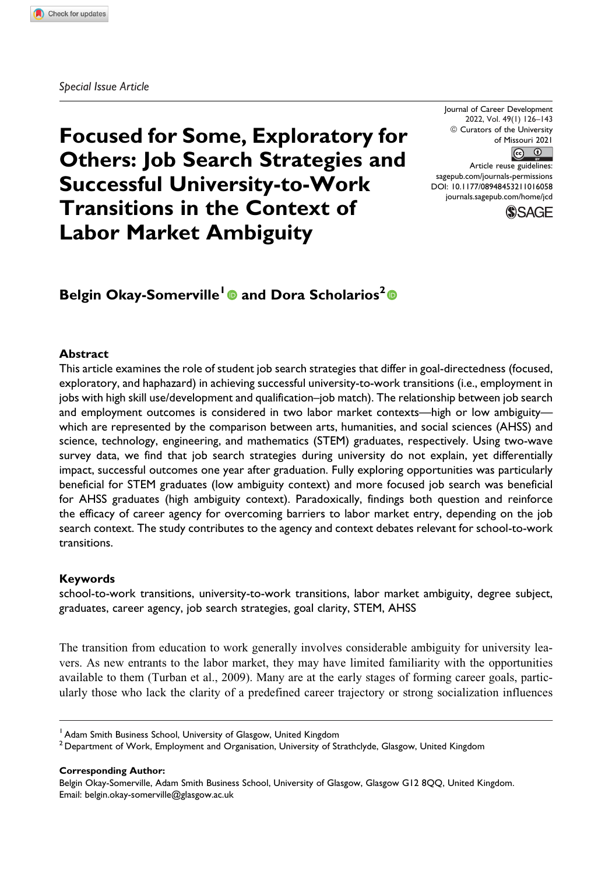**Focused for Some, Exploratory for Others: Job Search Strategies and Successful University-to-Work Transitions in the Context of Labor Market Ambiguity**

Journal of Career Development 2022, Vol. 49(1) 126–143  $©$  Curators of the University of Missouri 2021  $\circ$   $\circ$ 

Article reuse guidelines: sagepub.com/journals-permissions DOI: 10.1177/08948453211016058 journals.sagepub.com/home/jcd



# **Belgin Okay-Somerville<sup>1</sup> and Dora Scholarios<sup>2</sup>**

#### **Abstract**

This article examines the role of student job search strategies that differ in goal-directedness (focused, exploratory, and haphazard) in achieving successful university-to-work transitions (i.e., employment in jobs with high skill use/development and qualification–job match). The relationship between job search and employment outcomes is considered in two labor market contexts—high or low ambiguity which are represented by the comparison between arts, humanities, and social sciences (AHSS) and science, technology, engineering, and mathematics (STEM) graduates, respectively. Using two-wave survey data, we find that job search strategies during university do not explain, yet differentially impact, successful outcomes one year after graduation. Fully exploring opportunities was particularly beneficial for STEM graduates (low ambiguity context) and more focused job search was beneficial for AHSS graduates (high ambiguity context). Paradoxically, findings both question and reinforce the efficacy of career agency for overcoming barriers to labor market entry, depending on the job search context. The study contributes to the agency and context debates relevant for school-to-work transitions.

#### **Keywords**

school-to-work transitions, university-to-work transitions, labor market ambiguity, degree subject, graduates, career agency, job search strategies, goal clarity, STEM, AHSS

The transition from education to work generally involves considerable ambiguity for university leavers. As new entrants to the labor market, they may have limited familiarity with the opportunities available to them (Turban et al., 2009). Many are at the early stages of forming career goals, particularly those who lack the clarity of a predefined career trajectory or strong socialization influences

<sup>1</sup> Adam Smith Business School, University of Glasgow, United Kingdom

**Corresponding Author:**

 $^2$  Department of Work, Employment and Organisation, University of Strathclyde, Glasgow, United Kingdom

Belgin Okay-Somerville, Adam Smith Business School, University of Glasgow, Glasgow G12 8QQ, United Kingdom. Email: belgin.okay-somerville@glasgow.ac.uk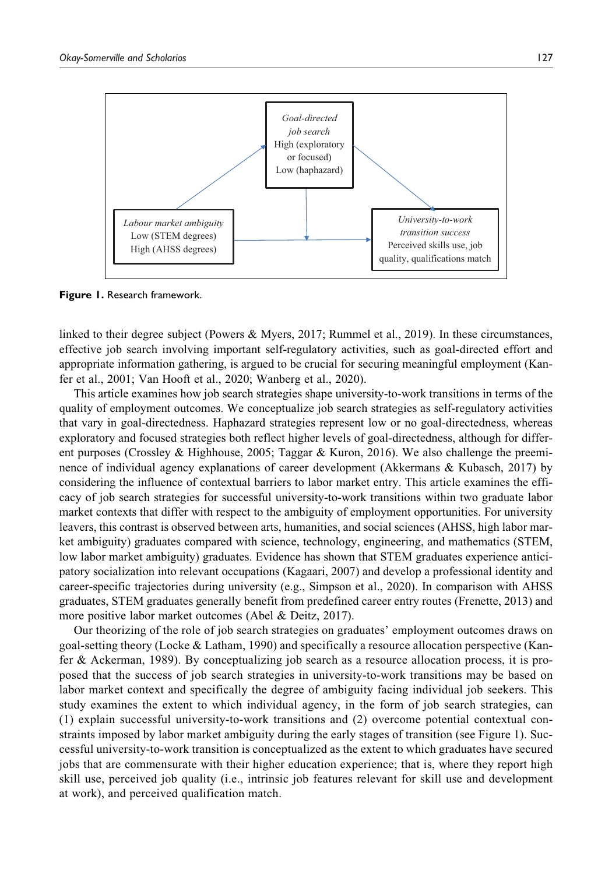

**Figure 1.** Research framework.

linked to their degree subject (Powers & Myers, 2017; Rummel et al., 2019). In these circumstances, effective job search involving important self-regulatory activities, such as goal-directed effort and appropriate information gathering, is argued to be crucial for securing meaningful employment (Kanfer et al., 2001; Van Hooft et al., 2020; Wanberg et al., 2020).

This article examines how job search strategies shape university-to-work transitions in terms of the quality of employment outcomes. We conceptualize job search strategies as self-regulatory activities that vary in goal-directedness. Haphazard strategies represent low or no goal-directedness, whereas exploratory and focused strategies both reflect higher levels of goal-directedness, although for different purposes (Crossley & Highhouse, 2005; Taggar & Kuron, 2016). We also challenge the preeminence of individual agency explanations of career development (Akkermans & Kubasch, 2017) by considering the influence of contextual barriers to labor market entry. This article examines the efficacy of job search strategies for successful university-to-work transitions within two graduate labor market contexts that differ with respect to the ambiguity of employment opportunities. For university leavers, this contrast is observed between arts, humanities, and social sciences (AHSS, high labor market ambiguity) graduates compared with science, technology, engineering, and mathematics (STEM, low labor market ambiguity) graduates. Evidence has shown that STEM graduates experience anticipatory socialization into relevant occupations (Kagaari, 2007) and develop a professional identity and career-specific trajectories during university (e.g., Simpson et al., 2020). In comparison with AHSS graduates, STEM graduates generally benefit from predefined career entry routes (Frenette, 2013) and more positive labor market outcomes (Abel & Deitz, 2017).

Our theorizing of the role of job search strategies on graduates' employment outcomes draws on goal-setting theory (Locke & Latham, 1990) and specifically a resource allocation perspective (Kanfer & Ackerman, 1989). By conceptualizing job search as a resource allocation process, it is proposed that the success of job search strategies in university-to-work transitions may be based on labor market context and specifically the degree of ambiguity facing individual job seekers. This study examines the extent to which individual agency, in the form of job search strategies, can (1) explain successful university-to-work transitions and (2) overcome potential contextual constraints imposed by labor market ambiguity during the early stages of transition (see Figure 1). Successful university-to-work transition is conceptualized as the extent to which graduates have secured jobs that are commensurate with their higher education experience; that is, where they report high skill use, perceived job quality (i.e., intrinsic job features relevant for skill use and development at work), and perceived qualification match.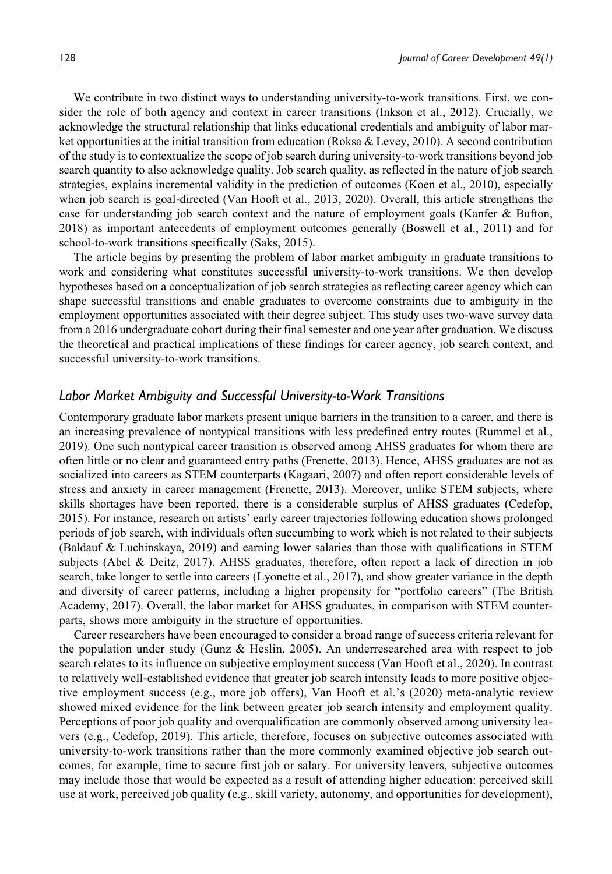We contribute in two distinct ways to understanding university-to-work transitions. First, we consider the role of both agency and context in career transitions (Inkson et al., 2012). Crucially, we acknowledge the structural relationship that links educational credentials and ambiguity of labor market opportunities at the initial transition from education (Roksa & Levey, 2010). A second contribution of the study is to contextualize the scope of job search during university-to-work transitions beyond job search quantity to also acknowledge quality. Job search quality, as reflected in the nature of job search strategies, explains incremental validity in the prediction of outcomes (Koen et al., 2010), especially when job search is goal-directed (Van Hooft et al., 2013, 2020). Overall, this article strengthens the case for understanding job search context and the nature of employment goals (Kanfer & Bufton, 2018) as important antecedents of employment outcomes generally (Boswell et al., 2011) and for school-to-work transitions specifically (Saks, 2015).

The article begins by presenting the problem of labor market ambiguity in graduate transitions to work and considering what constitutes successful university-to-work transitions. We then develop hypotheses based on a conceptualization of job search strategies as reflecting career agency which can shape successful transitions and enable graduates to overcome constraints due to ambiguity in the employment opportunities associated with their degree subject. This study uses two-wave survey data from a 2016 undergraduate cohort during their final semester and one year after graduation. We discuss the theoretical and practical implications of these findings for career agency, job search context, and successful university-to-work transitions.

### *Labor Market Ambiguity and Successful University-to-Work Transitions*

Contemporary graduate labor markets present unique barriers in the transition to a career, and there is an increasing prevalence of nontypical transitions with less predefined entry routes (Rummel et al., 2019). One such nontypical career transition is observed among AHSS graduates for whom there are often little or no clear and guaranteed entry paths (Frenette, 2013). Hence, AHSS graduates are not as socialized into careers as STEM counterparts (Kagaari, 2007) and often report considerable levels of stress and anxiety in career management (Frenette, 2013). Moreover, unlike STEM subjects, where skills shortages have been reported, there is a considerable surplus of AHSS graduates (Cedefop, 2015). For instance, research on artists' early career trajectories following education shows prolonged periods of job search, with individuals often succumbing to work which is not related to their subjects (Baldauf & Luchinskaya, 2019) and earning lower salaries than those with qualifications in STEM subjects (Abel & Deitz, 2017). AHSS graduates, therefore, often report a lack of direction in job search, take longer to settle into careers (Lyonette et al., 2017), and show greater variance in the depth and diversity of career patterns, including a higher propensity for "portfolio careers" (The British Academy, 2017). Overall, the labor market for AHSS graduates, in comparison with STEM counterparts, shows more ambiguity in the structure of opportunities.

Career researchers have been encouraged to consider a broad range of success criteria relevant for the population under study (Gunz & Heslin, 2005). An underresearched area with respect to job search relates to its influence on subjective employment success (Van Hooft et al., 2020). In contrast to relatively well-established evidence that greater job search intensity leads to more positive objective employment success (e.g., more job offers), Van Hooft et al.'s (2020) meta-analytic review showed mixed evidence for the link between greater job search intensity and employment quality. Perceptions of poor job quality and overqualification are commonly observed among university leavers (e.g., Cedefop, 2019). This article, therefore, focuses on subjective outcomes associated with university-to-work transitions rather than the more commonly examined objective job search outcomes, for example, time to secure first job or salary. For university leavers, subjective outcomes may include those that would be expected as a result of attending higher education: perceived skill use at work, perceived job quality (e.g., skill variety, autonomy, and opportunities for development),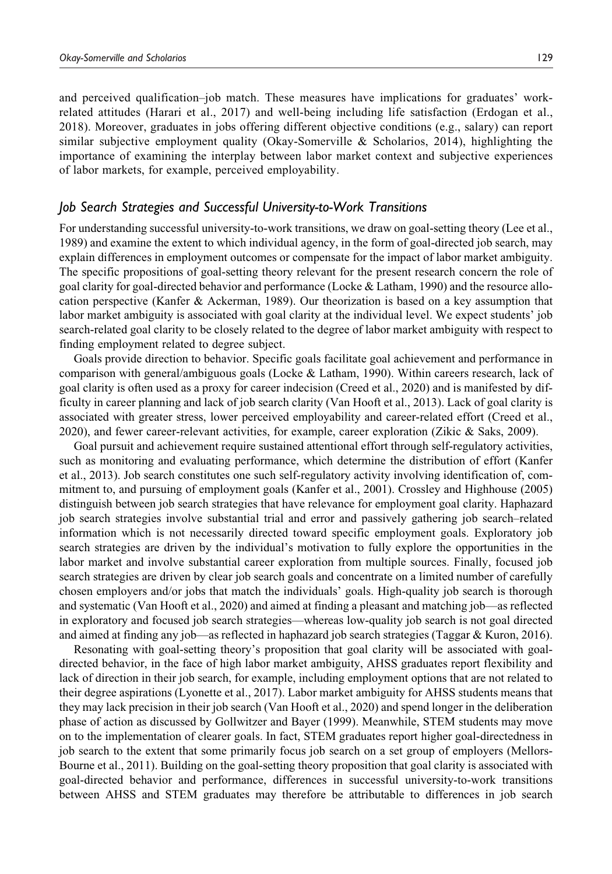and perceived qualification–job match. These measures have implications for graduates' workrelated attitudes (Harari et al., 2017) and well-being including life satisfaction (Erdogan et al., 2018). Moreover, graduates in jobs offering different objective conditions (e.g., salary) can report similar subjective employment quality (Okay-Somerville  $&$  Scholarios, 2014), highlighting the importance of examining the interplay between labor market context and subjective experiences of labor markets, for example, perceived employability.

### *Job Search Strategies and Successful University-to-Work Transitions*

For understanding successful university-to-work transitions, we draw on goal-setting theory (Lee et al., 1989) and examine the extent to which individual agency, in the form of goal-directed job search, may explain differences in employment outcomes or compensate for the impact of labor market ambiguity. The specific propositions of goal-setting theory relevant for the present research concern the role of goal clarity for goal-directed behavior and performance (Locke  $&$  Latham, 1990) and the resource allocation perspective (Kanfer & Ackerman, 1989). Our theorization is based on a key assumption that labor market ambiguity is associated with goal clarity at the individual level. We expect students' job search-related goal clarity to be closely related to the degree of labor market ambiguity with respect to finding employment related to degree subject.

Goals provide direction to behavior. Specific goals facilitate goal achievement and performance in comparison with general/ambiguous goals (Locke & Latham, 1990). Within careers research, lack of goal clarity is often used as a proxy for career indecision (Creed et al., 2020) and is manifested by difficulty in career planning and lack of job search clarity (Van Hooft et al., 2013). Lack of goal clarity is associated with greater stress, lower perceived employability and career-related effort (Creed et al., 2020), and fewer career-relevant activities, for example, career exploration (Zikic & Saks, 2009).

Goal pursuit and achievement require sustained attentional effort through self-regulatory activities, such as monitoring and evaluating performance, which determine the distribution of effort (Kanfer et al., 2013). Job search constitutes one such self-regulatory activity involving identification of, commitment to, and pursuing of employment goals (Kanfer et al., 2001). Crossley and Highhouse (2005) distinguish between job search strategies that have relevance for employment goal clarity. Haphazard job search strategies involve substantial trial and error and passively gathering job search–related information which is not necessarily directed toward specific employment goals. Exploratory job search strategies are driven by the individual's motivation to fully explore the opportunities in the labor market and involve substantial career exploration from multiple sources. Finally, focused job search strategies are driven by clear job search goals and concentrate on a limited number of carefully chosen employers and/or jobs that match the individuals' goals. High-quality job search is thorough and systematic (Van Hooft et al., 2020) and aimed at finding a pleasant and matching job—as reflected in exploratory and focused job search strategies—whereas low-quality job search is not goal directed and aimed at finding any job—as reflected in haphazard job search strategies (Taggar & Kuron, 2016).

Resonating with goal-setting theory's proposition that goal clarity will be associated with goaldirected behavior, in the face of high labor market ambiguity, AHSS graduates report flexibility and lack of direction in their job search, for example, including employment options that are not related to their degree aspirations (Lyonette et al., 2017). Labor market ambiguity for AHSS students means that they may lack precision in their job search (Van Hooft et al., 2020) and spend longer in the deliberation phase of action as discussed by Gollwitzer and Bayer (1999). Meanwhile, STEM students may move on to the implementation of clearer goals. In fact, STEM graduates report higher goal-directedness in job search to the extent that some primarily focus job search on a set group of employers (Mellors-Bourne et al., 2011). Building on the goal-setting theory proposition that goal clarity is associated with goal-directed behavior and performance, differences in successful university-to-work transitions between AHSS and STEM graduates may therefore be attributable to differences in job search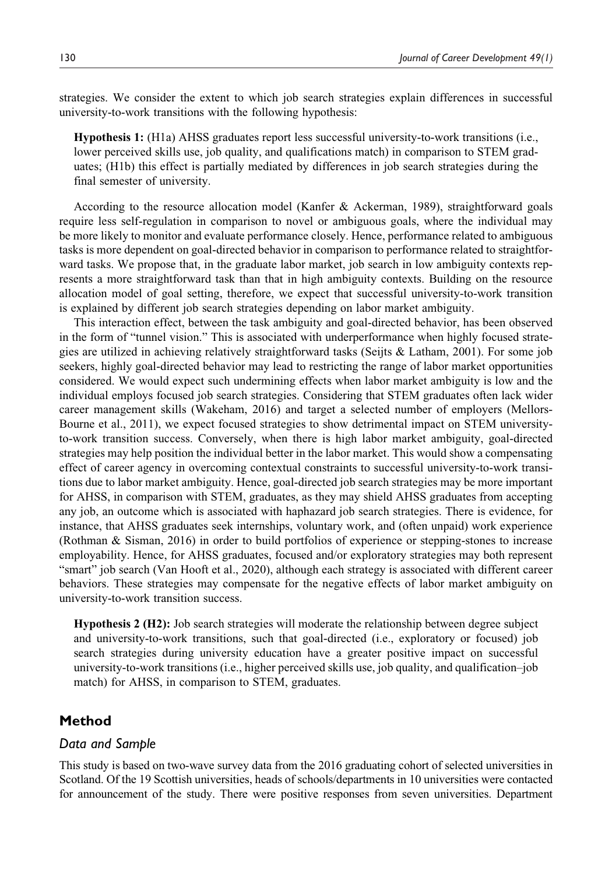strategies. We consider the extent to which job search strategies explain differences in successful university-to-work transitions with the following hypothesis:

Hypothesis 1: (H1a) AHSS graduates report less successful university-to-work transitions (i.e., lower perceived skills use, job quality, and qualifications match) in comparison to STEM graduates; (H1b) this effect is partially mediated by differences in job search strategies during the final semester of university.

According to the resource allocation model (Kanfer & Ackerman, 1989), straightforward goals require less self-regulation in comparison to novel or ambiguous goals, where the individual may be more likely to monitor and evaluate performance closely. Hence, performance related to ambiguous tasks is more dependent on goal-directed behavior in comparison to performance related to straightforward tasks. We propose that, in the graduate labor market, job search in low ambiguity contexts represents a more straightforward task than that in high ambiguity contexts. Building on the resource allocation model of goal setting, therefore, we expect that successful university-to-work transition is explained by different job search strategies depending on labor market ambiguity.

This interaction effect, between the task ambiguity and goal-directed behavior, has been observed in the form of "tunnel vision." This is associated with underperformance when highly focused strategies are utilized in achieving relatively straightforward tasks (Seijts & Latham, 2001). For some job seekers, highly goal-directed behavior may lead to restricting the range of labor market opportunities considered. We would expect such undermining effects when labor market ambiguity is low and the individual employs focused job search strategies. Considering that STEM graduates often lack wider career management skills (Wakeham, 2016) and target a selected number of employers (Mellors-Bourne et al., 2011), we expect focused strategies to show detrimental impact on STEM universityto-work transition success. Conversely, when there is high labor market ambiguity, goal-directed strategies may help position the individual better in the labor market. This would show a compensating effect of career agency in overcoming contextual constraints to successful university-to-work transitions due to labor market ambiguity. Hence, goal-directed job search strategies may be more important for AHSS, in comparison with STEM, graduates, as they may shield AHSS graduates from accepting any job, an outcome which is associated with haphazard job search strategies. There is evidence, for instance, that AHSS graduates seek internships, voluntary work, and (often unpaid) work experience (Rothman & Sisman, 2016) in order to build portfolios of experience or stepping-stones to increase employability. Hence, for AHSS graduates, focused and/or exploratory strategies may both represent "smart" job search (Van Hooft et al., 2020), although each strategy is associated with different career behaviors. These strategies may compensate for the negative effects of labor market ambiguity on university-to-work transition success.

Hypothesis 2 (H2): Job search strategies will moderate the relationship between degree subject and university-to-work transitions, such that goal-directed (i.e., exploratory or focused) job search strategies during university education have a greater positive impact on successful university-to-work transitions (i.e., higher perceived skills use, job quality, and qualification–job match) for AHSS, in comparison to STEM, graduates.

## **Method**

### *Data and Sample*

This study is based on two-wave survey data from the 2016 graduating cohort of selected universities in Scotland. Of the 19 Scottish universities, heads of schools/departments in 10 universities were contacted for announcement of the study. There were positive responses from seven universities. Department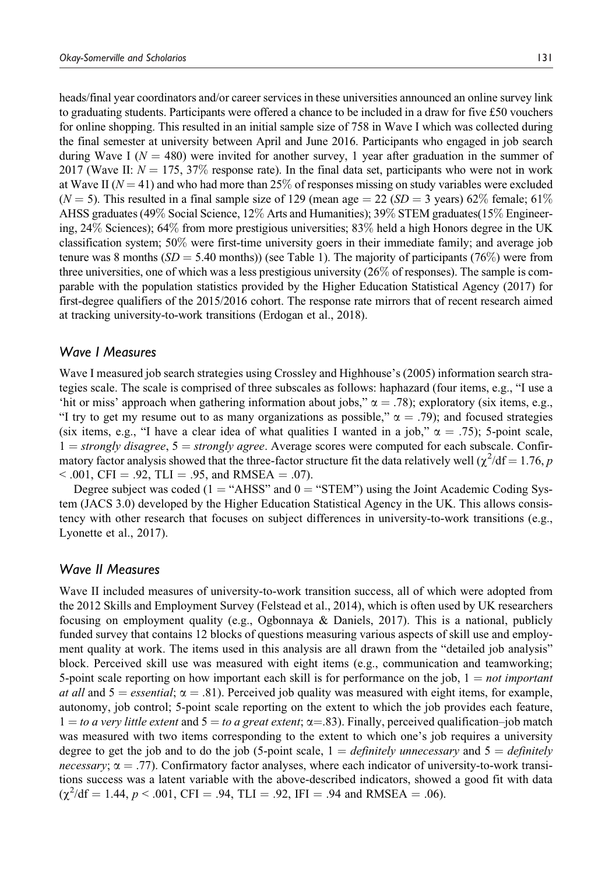heads/final year coordinators and/or career services in these universities announced an online survey link to graduating students. Participants were offered a chance to be included in a draw for five £50 vouchers for online shopping. This resulted in an initial sample size of 758 in Wave I which was collected during the final semester at university between April and June 2016. Participants who engaged in job search during Wave I ( $N = 480$ ) were invited for another survey, 1 year after graduation in the summer of 2017 (Wave II:  $N = 175, 37\%$  response rate). In the final data set, participants who were not in work at Wave II ( $N = 41$ ) and who had more than 25% of responses missing on study variables were excluded ( $N = 5$ ). This resulted in a final sample size of 129 (mean age  $= 22$  ( $SD = 3$  years) 62% female; 61% AHSS graduates (49% Social Science, 12% Arts and Humanities); 39% STEM graduates(15% Engineering, 24% Sciences); 64% from more prestigious universities; 83% held a high Honors degree in the UK classification system; 50% were first-time university goers in their immediate family; and average job tenure was 8 months ( $SD = 5.40$  months)) (see Table 1). The majority of participants (76%) were from three universities, one of which was a less prestigious university (26% of responses). The sample is comparable with the population statistics provided by the Higher Education Statistical Agency (2017) for first-degree qualifiers of the 2015/2016 cohort. The response rate mirrors that of recent research aimed at tracking university-to-work transitions (Erdogan et al., 2018).

### *Wave I Measures*

Wave I measured job search strategies using Crossley and Highhouse's (2005) information search strategies scale. The scale is comprised of three subscales as follows: haphazard (four items, e.g., "I use a 'hit or miss' approach when gathering information about jobs,"  $\alpha = .78$ ); exploratory (six items, e.g., "I try to get my resume out to as many organizations as possible,"  $\alpha = .79$ ); and focused strategies (six items, e.g., "I have a clear idea of what qualities I wanted in a job,"  $\alpha = .75$ ); 5-point scale,  $1 = strongly disagree, 5 = strongly agree. Average scores were computed for each subscale. Confir$ matory factor analysis showed that the three-factor structure fit the data relatively well ( $\chi^2/df = 1.76$ , p  $< .001$ , CFI = .92, TLI = .95, and RMSEA = .07).

Degree subject was coded ( $1 = "AHSS"$  and  $0 = "STEM"$ ) using the Joint Academic Coding System (JACS 3.0) developed by the Higher Education Statistical Agency in the UK. This allows consistency with other research that focuses on subject differences in university-to-work transitions (e.g., Lyonette et al., 2017).

### *Wave II Measures*

Wave II included measures of university-to-work transition success, all of which were adopted from the 2012 Skills and Employment Survey (Felstead et al., 2014), which is often used by UK researchers focusing on employment quality (e.g., Ogbonnaya & Daniels, 2017). This is a national, publicly funded survey that contains 12 blocks of questions measuring various aspects of skill use and employment quality at work. The items used in this analysis are all drawn from the "detailed job analysis" block. Perceived skill use was measured with eight items (e.g., communication and teamworking; 5-point scale reporting on how important each skill is for performance on the job,  $1 = not important$ at all and  $5 =$  essential;  $\alpha = .81$ ). Perceived job quality was measured with eight items, for example, autonomy, job control; 5-point scale reporting on the extent to which the job provides each feature,  $1 =$  to a very little extent and  $5 =$  to a great extent;  $\alpha = .83$ ). Finally, perceived qualification–job match was measured with two items corresponding to the extent to which one's job requires a university degree to get the job and to do the job (5-point scale,  $1 = \text{definitely unnecessary}$  and  $5 = \text{definitely}$ necessary;  $\alpha = .77$ ). Confirmatory factor analyses, where each indicator of university-to-work transitions success was a latent variable with the above-described indicators, showed a good fit with data  $(\chi^2/df = 1.44, p < .001, CFI = .94, TLI = .92, IFI = .94 \text{ and RMSEA} = .06).$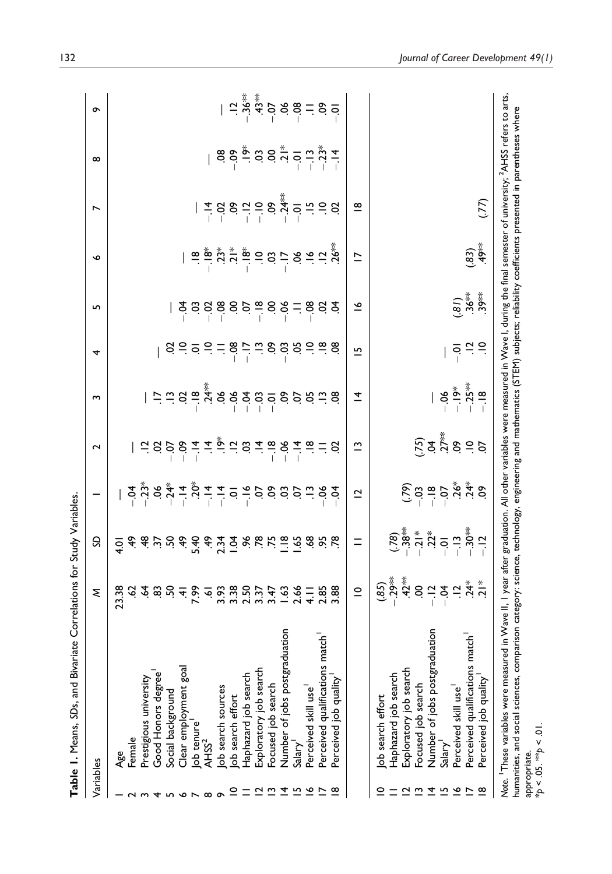| Variables               |                                                                                                                                                                                                                                                                                                                                                                                                  | ξ                                                                                                | S                                                                               |                | $\sim$                                                                                                                                                                                                                                                                                                              | ω        | 4                                         | S                                                                                                                                                                                                                                                                                                                   | $\bullet$                                                                                                                                                                                                                                                                                                                                                                                              | Ñ                       | $\infty$                                                                                                                                                                                                                                                                                                        | ó                                                                                                                     |
|-------------------------|--------------------------------------------------------------------------------------------------------------------------------------------------------------------------------------------------------------------------------------------------------------------------------------------------------------------------------------------------------------------------------------------------|--------------------------------------------------------------------------------------------------|---------------------------------------------------------------------------------|----------------|---------------------------------------------------------------------------------------------------------------------------------------------------------------------------------------------------------------------------------------------------------------------------------------------------------------------|----------|-------------------------------------------|---------------------------------------------------------------------------------------------------------------------------------------------------------------------------------------------------------------------------------------------------------------------------------------------------------------------|--------------------------------------------------------------------------------------------------------------------------------------------------------------------------------------------------------------------------------------------------------------------------------------------------------------------------------------------------------------------------------------------------------|-------------------------|-----------------------------------------------------------------------------------------------------------------------------------------------------------------------------------------------------------------------------------------------------------------------------------------------------------------|-----------------------------------------------------------------------------------------------------------------------|
|                         | Age                                                                                                                                                                                                                                                                                                                                                                                              | 23.38                                                                                            | $\frac{1}{2}$                                                                   |                |                                                                                                                                                                                                                                                                                                                     |          |                                           |                                                                                                                                                                                                                                                                                                                     |                                                                                                                                                                                                                                                                                                                                                                                                        |                         |                                                                                                                                                                                                                                                                                                                 |                                                                                                                       |
|                         | Female                                                                                                                                                                                                                                                                                                                                                                                           |                                                                                                  |                                                                                 |                |                                                                                                                                                                                                                                                                                                                     |          |                                           |                                                                                                                                                                                                                                                                                                                     |                                                                                                                                                                                                                                                                                                                                                                                                        |                         |                                                                                                                                                                                                                                                                                                                 |                                                                                                                       |
|                         | Prestigious university                                                                                                                                                                                                                                                                                                                                                                           |                                                                                                  |                                                                                 |                |                                                                                                                                                                                                                                                                                                                     |          |                                           |                                                                                                                                                                                                                                                                                                                     |                                                                                                                                                                                                                                                                                                                                                                                                        |                         |                                                                                                                                                                                                                                                                                                                 |                                                                                                                       |
|                         | Good Honors degree                                                                                                                                                                                                                                                                                                                                                                               |                                                                                                  |                                                                                 |                |                                                                                                                                                                                                                                                                                                                     |          |                                           |                                                                                                                                                                                                                                                                                                                     |                                                                                                                                                                                                                                                                                                                                                                                                        |                         |                                                                                                                                                                                                                                                                                                                 |                                                                                                                       |
|                         | Social background                                                                                                                                                                                                                                                                                                                                                                                |                                                                                                  |                                                                                 |                |                                                                                                                                                                                                                                                                                                                     |          |                                           |                                                                                                                                                                                                                                                                                                                     |                                                                                                                                                                                                                                                                                                                                                                                                        |                         |                                                                                                                                                                                                                                                                                                                 |                                                                                                                       |
|                         | Clear employment goal                                                                                                                                                                                                                                                                                                                                                                            |                                                                                                  |                                                                                 |                |                                                                                                                                                                                                                                                                                                                     |          |                                           |                                                                                                                                                                                                                                                                                                                     |                                                                                                                                                                                                                                                                                                                                                                                                        |                         |                                                                                                                                                                                                                                                                                                                 |                                                                                                                       |
|                         | ob tenure                                                                                                                                                                                                                                                                                                                                                                                        |                                                                                                  |                                                                                 |                |                                                                                                                                                                                                                                                                                                                     |          |                                           |                                                                                                                                                                                                                                                                                                                     |                                                                                                                                                                                                                                                                                                                                                                                                        |                         |                                                                                                                                                                                                                                                                                                                 |                                                                                                                       |
| $\infty$                | AHSS <sup>2</sup>                                                                                                                                                                                                                                                                                                                                                                                |                                                                                                  |                                                                                 |                |                                                                                                                                                                                                                                                                                                                     |          |                                           |                                                                                                                                                                                                                                                                                                                     |                                                                                                                                                                                                                                                                                                                                                                                                        |                         |                                                                                                                                                                                                                                                                                                                 |                                                                                                                       |
|                         | ob search sources                                                                                                                                                                                                                                                                                                                                                                                |                                                                                                  |                                                                                 |                |                                                                                                                                                                                                                                                                                                                     |          |                                           |                                                                                                                                                                                                                                                                                                                     |                                                                                                                                                                                                                                                                                                                                                                                                        |                         |                                                                                                                                                                                                                                                                                                                 |                                                                                                                       |
| ∘                       | ob search effort                                                                                                                                                                                                                                                                                                                                                                                 |                                                                                                  |                                                                                 |                |                                                                                                                                                                                                                                                                                                                     |          |                                           |                                                                                                                                                                                                                                                                                                                     |                                                                                                                                                                                                                                                                                                                                                                                                        |                         |                                                                                                                                                                                                                                                                                                                 |                                                                                                                       |
| Ξ                       | Haphazard job search                                                                                                                                                                                                                                                                                                                                                                             |                                                                                                  |                                                                                 |                |                                                                                                                                                                                                                                                                                                                     |          |                                           |                                                                                                                                                                                                                                                                                                                     |                                                                                                                                                                                                                                                                                                                                                                                                        |                         |                                                                                                                                                                                                                                                                                                                 |                                                                                                                       |
|                         | Exploratory job search                                                                                                                                                                                                                                                                                                                                                                           |                                                                                                  |                                                                                 |                |                                                                                                                                                                                                                                                                                                                     |          |                                           |                                                                                                                                                                                                                                                                                                                     |                                                                                                                                                                                                                                                                                                                                                                                                        |                         |                                                                                                                                                                                                                                                                                                                 |                                                                                                                       |
| ≅                       | Focused job search                                                                                                                                                                                                                                                                                                                                                                               |                                                                                                  |                                                                                 |                |                                                                                                                                                                                                                                                                                                                     |          |                                           |                                                                                                                                                                                                                                                                                                                     |                                                                                                                                                                                                                                                                                                                                                                                                        |                         |                                                                                                                                                                                                                                                                                                                 |                                                                                                                       |
| ᅕ                       | Number of jobs postgraduation                                                                                                                                                                                                                                                                                                                                                                    |                                                                                                  |                                                                                 |                |                                                                                                                                                                                                                                                                                                                     |          |                                           |                                                                                                                                                                                                                                                                                                                     |                                                                                                                                                                                                                                                                                                                                                                                                        |                         |                                                                                                                                                                                                                                                                                                                 |                                                                                                                       |
| ⋍                       | Salary <sup>1</sup>                                                                                                                                                                                                                                                                                                                                                                              |                                                                                                  |                                                                                 |                |                                                                                                                                                                                                                                                                                                                     |          |                                           |                                                                                                                                                                                                                                                                                                                     |                                                                                                                                                                                                                                                                                                                                                                                                        |                         |                                                                                                                                                                                                                                                                                                                 |                                                                                                                       |
| ≗                       | Perceived skill use                                                                                                                                                                                                                                                                                                                                                                              |                                                                                                  | \$ \$ 5 5 6 5 6 7 7 8 8 6 7 8 9 9 8 7                                           |                | $\frac{1}{2}$ $\frac{1}{2}$ $\frac{1}{2}$ $\frac{1}{2}$ $\frac{1}{2}$ $\frac{1}{2}$ $\frac{1}{2}$ $\frac{1}{2}$ $\frac{1}{2}$ $\frac{1}{2}$ $\frac{1}{2}$ $\frac{1}{2}$ $\frac{1}{2}$ $\frac{1}{2}$ $\frac{1}{2}$ $\frac{1}{2}$ $\frac{1}{2}$ $\frac{1}{2}$ $\frac{1}{2}$ $\frac{1}{2}$ $\frac{1}{2}$ $\frac{1}{2}$ |          |                                           | $\frac{1}{2}$ $\frac{3}{2}$ $\frac{3}{2}$ $\frac{3}{2}$ $\frac{3}{2}$ $\frac{3}{2}$ $\frac{3}{2}$ $\frac{3}{2}$ $\frac{3}{2}$ $\frac{3}{2}$ $\frac{3}{2}$ $\frac{3}{2}$ $\frac{3}{2}$ $\frac{3}{2}$ $\frac{3}{2}$ $\frac{3}{2}$ $\frac{3}{2}$ $\frac{3}{2}$ $\frac{3}{2}$ $\frac{3}{2}$ $\frac{3}{2}$ $\frac{3}{2}$ | $\mid \frac{\omega}{\omega} \sum_{i=1}^{+\infty} \frac{1}{i} \sum_{i=1}^{+\infty} \frac{1}{i} \frac{1}{i} \frac{1}{i} \frac{1}{i} \frac{1}{i} \frac{1}{i} \frac{1}{i} \frac{1}{i} \frac{1}{i} \frac{1}{i} \frac{1}{i} \frac{1}{i} \frac{1}{i} \frac{1}{i} \frac{1}{i} \frac{1}{i} \frac{1}{i} \frac{1}{i} \frac{1}{i} \frac{1}{i} \frac{1}{i} \frac{1}{i} \frac{1}{i} \frac{1}{i} \frac{1}{i} \frac{1$ |                         | $88.05 \div 28.05 \div 10.05 \div 10.05 \div 10.05 \div 10.05 \div 10.05 \div 10.05 \div 10.05 \div 10.05 \div 10.05 \div 10.05 \div 10.05 \div 10.05 \div 10.05 \div 10.05 \div 10.05 \div 10.05 \div 10.05 \div 10.05 \div 10.05 \div 10.05 \div 10.05 \div 10.05 \div 10.05 \div 10.05 \div 10.05 \div 10.0$ | $1 - \frac{3}{4} \sum_{i=1}^{4} \sum_{i=1}^{4} 2 \sum_{j=1}^{4} 6 \sum_{i=1}^{4} 6 \sum_{i=1}^{4} 6 \sum_{i=1}^{4} 1$ |
|                         | Perceived qualifications match                                                                                                                                                                                                                                                                                                                                                                   |                                                                                                  |                                                                                 |                |                                                                                                                                                                                                                                                                                                                     |          |                                           |                                                                                                                                                                                                                                                                                                                     |                                                                                                                                                                                                                                                                                                                                                                                                        |                         |                                                                                                                                                                                                                                                                                                                 |                                                                                                                       |
| ∞                       | Perceived job quality                                                                                                                                                                                                                                                                                                                                                                            |                                                                                                  |                                                                                 |                |                                                                                                                                                                                                                                                                                                                     |          | ී.                                        |                                                                                                                                                                                                                                                                                                                     |                                                                                                                                                                                                                                                                                                                                                                                                        |                         |                                                                                                                                                                                                                                                                                                                 |                                                                                                                       |
|                         |                                                                                                                                                                                                                                                                                                                                                                                                  | $\subseteq$                                                                                      | $=$                                                                             | $\overline{c}$ | $\tilde{c}$                                                                                                                                                                                                                                                                                                         | <u>호</u> | $\overline{5}$                            | $\tilde{=}$                                                                                                                                                                                                                                                                                                         | $\overline{\phantom{0}}$                                                                                                                                                                                                                                                                                                                                                                               | $\overline{\mathbf{8}}$ |                                                                                                                                                                                                                                                                                                                 |                                                                                                                       |
|                         | ob search effort                                                                                                                                                                                                                                                                                                                                                                                 | $(85)$<br>$(85)$<br>$(85)$<br>$(85)$<br>$(85)$<br>$(85)$<br>$(85)$<br>$(85)$<br>$(85)$<br>$(85)$ |                                                                                 |                |                                                                                                                                                                                                                                                                                                                     |          |                                           |                                                                                                                                                                                                                                                                                                                     |                                                                                                                                                                                                                                                                                                                                                                                                        |                         |                                                                                                                                                                                                                                                                                                                 |                                                                                                                       |
|                         | Haphazard job search                                                                                                                                                                                                                                                                                                                                                                             |                                                                                                  |                                                                                 |                |                                                                                                                                                                                                                                                                                                                     |          |                                           |                                                                                                                                                                                                                                                                                                                     |                                                                                                                                                                                                                                                                                                                                                                                                        |                         |                                                                                                                                                                                                                                                                                                                 |                                                                                                                       |
|                         | Exploratory job search                                                                                                                                                                                                                                                                                                                                                                           |                                                                                                  |                                                                                 |                |                                                                                                                                                                                                                                                                                                                     |          |                                           |                                                                                                                                                                                                                                                                                                                     |                                                                                                                                                                                                                                                                                                                                                                                                        |                         |                                                                                                                                                                                                                                                                                                                 |                                                                                                                       |
|                         | Focused job search                                                                                                                                                                                                                                                                                                                                                                               |                                                                                                  |                                                                                 |                |                                                                                                                                                                                                                                                                                                                     |          |                                           |                                                                                                                                                                                                                                                                                                                     |                                                                                                                                                                                                                                                                                                                                                                                                        |                         |                                                                                                                                                                                                                                                                                                                 |                                                                                                                       |
| ᅕ                       | Number of jobs postgraduation                                                                                                                                                                                                                                                                                                                                                                    |                                                                                                  |                                                                                 |                |                                                                                                                                                                                                                                                                                                                     |          |                                           |                                                                                                                                                                                                                                                                                                                     |                                                                                                                                                                                                                                                                                                                                                                                                        |                         |                                                                                                                                                                                                                                                                                                                 |                                                                                                                       |
| <u>ம</u>                | Salary <sup>1</sup>                                                                                                                                                                                                                                                                                                                                                                              |                                                                                                  |                                                                                 |                |                                                                                                                                                                                                                                                                                                                     |          |                                           |                                                                                                                                                                                                                                                                                                                     |                                                                                                                                                                                                                                                                                                                                                                                                        |                         |                                                                                                                                                                                                                                                                                                                 |                                                                                                                       |
| ৺                       | Perceived skill use <sup>1</sup>                                                                                                                                                                                                                                                                                                                                                                 |                                                                                                  | $(-78)$<br>$-72$<br>$-72$<br>$-72$<br>$-72$<br>$-72$<br>$-72$<br>$-72$<br>$-72$ |                | 5<br>2 4 7 8 0 9 2<br>3 7 8 0 9 2                                                                                                                                                                                                                                                                                   |          | $\frac{1}{2}$ $\frac{1}{2}$ $\frac{1}{2}$ | $\begin{array}{c} .80 \\ .36 \\ .39 \\ .49 \end{array}$                                                                                                                                                                                                                                                             |                                                                                                                                                                                                                                                                                                                                                                                                        |                         |                                                                                                                                                                                                                                                                                                                 |                                                                                                                       |
|                         | Perceived qualifications match                                                                                                                                                                                                                                                                                                                                                                   |                                                                                                  |                                                                                 |                |                                                                                                                                                                                                                                                                                                                     |          |                                           |                                                                                                                                                                                                                                                                                                                     | $^{(.83)}_{49}$                                                                                                                                                                                                                                                                                                                                                                                        |                         |                                                                                                                                                                                                                                                                                                                 |                                                                                                                       |
| $\frac{\infty}{\infty}$ | Perceived job quality                                                                                                                                                                                                                                                                                                                                                                            |                                                                                                  |                                                                                 |                |                                                                                                                                                                                                                                                                                                                     |          |                                           |                                                                                                                                                                                                                                                                                                                     |                                                                                                                                                                                                                                                                                                                                                                                                        | (77)                    |                                                                                                                                                                                                                                                                                                                 |                                                                                                                       |
|                         | Note. <sup>I</sup> These variables were measured in Wave II, I year after graduation. All other variables were measured in Wave I, during the final semester of university; <sup>2</sup> AHSS refers to arts,<br>humanities, and social sciences, comparison category: science, technology, engineering and mathematics (STEM) subjects; reliability coefficients presented in parentheses where |                                                                                                  |                                                                                 |                |                                                                                                                                                                                                                                                                                                                     |          |                                           |                                                                                                                                                                                                                                                                                                                     |                                                                                                                                                                                                                                                                                                                                                                                                        |                         |                                                                                                                                                                                                                                                                                                                 |                                                                                                                       |
|                         | appropriate.                                                                                                                                                                                                                                                                                                                                                                                     |                                                                                                  |                                                                                 |                |                                                                                                                                                                                                                                                                                                                     |          |                                           |                                                                                                                                                                                                                                                                                                                     |                                                                                                                                                                                                                                                                                                                                                                                                        |                         |                                                                                                                                                                                                                                                                                                                 |                                                                                                                       |

appl optimate:<br>\*p < .05. \*\*p < .01. \**p* < .05. \*\**p* < .01.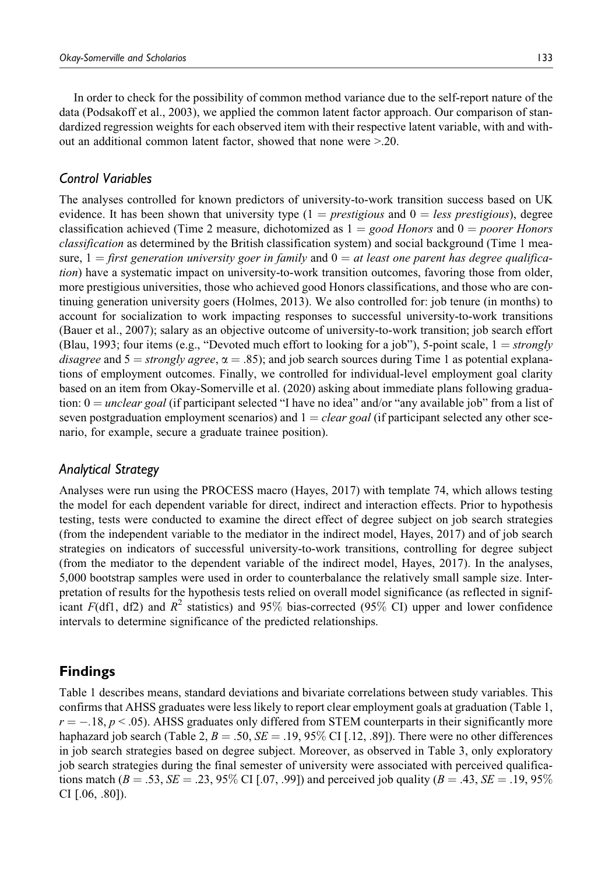In order to check for the possibility of common method variance due to the self-report nature of the data (Podsakoff et al., 2003), we applied the common latent factor approach. Our comparison of standardized regression weights for each observed item with their respective latent variable, with and without an additional common latent factor, showed that none were >.20.

### *Control Variables*

The analyses controlled for known predictors of university-to-work transition success based on UK evidence. It has been shown that university type  $(1 = \text{presitigious} \text{ and } 0 = \text{less \text{presitigious}})$ , degree classification achieved (Time 2 measure, dichotomized as  $1 = good$  Honors and  $0 = poorer$  Honors classification as determined by the British classification system) and social background (Time 1 measure,  $1 =$  first generation university goer in family and  $0 =$  at least one parent has degree qualification) have a systematic impact on university-to-work transition outcomes, favoring those from older, more prestigious universities, those who achieved good Honors classifications, and those who are continuing generation university goers (Holmes, 2013). We also controlled for: job tenure (in months) to account for socialization to work impacting responses to successful university-to-work transitions (Bauer et al., 2007); salary as an objective outcome of university-to-work transition; job search effort (Blau, 1993; four items (e.g., "Devoted much effort to looking for a job"), 5-point scale,  $1 = strongly$ disagree and  $5 =$  strongly agree,  $\alpha = .85$ ; and job search sources during Time 1 as potential explanations of employment outcomes. Finally, we controlled for individual-level employment goal clarity based on an item from Okay-Somerville et al. (2020) asking about immediate plans following graduation:  $0 =$  unclear goal (if participant selected "I have no idea" and/or "any available job" from a list of seven postgraduation employment scenarios) and  $1 = clear goal$  (if participant selected any other scenario, for example, secure a graduate trainee position).

### *Analytical Strategy*

Analyses were run using the PROCESS macro (Hayes, 2017) with template 74, which allows testing the model for each dependent variable for direct, indirect and interaction effects. Prior to hypothesis testing, tests were conducted to examine the direct effect of degree subject on job search strategies (from the independent variable to the mediator in the indirect model, Hayes, 2017) and of job search strategies on indicators of successful university-to-work transitions, controlling for degree subject (from the mediator to the dependent variable of the indirect model, Hayes, 2017). In the analyses, 5,000 bootstrap samples were used in order to counterbalance the relatively small sample size. Interpretation of results for the hypothesis tests relied on overall model significance (as reflected in significant F(df1, df2) and  $R^2$  statistics) and 95% bias-corrected (95% CI) upper and lower confidence intervals to determine significance of the predicted relationships.

# **Findings**

Table 1 describes means, standard deviations and bivariate correlations between study variables. This confirms that AHSS graduates were less likely to report clear employment goals at graduation (Table 1,  $r = -.18, p < .05$ ). AHSS graduates only differed from STEM counterparts in their significantly more haphazard job search (Table 2,  $B = .50$ ,  $SE = .19$ , 95% CI [.12, .89]). There were no other differences in job search strategies based on degree subject. Moreover, as observed in Table 3, only exploratory job search strategies during the final semester of university were associated with perceived qualifications match ( $B = .53$ ,  $SE = .23$ , 95% CI [.07, .99]) and perceived job quality ( $B = .43$ ,  $SE = .19$ , 95% CI  $[.06, .80]$ ).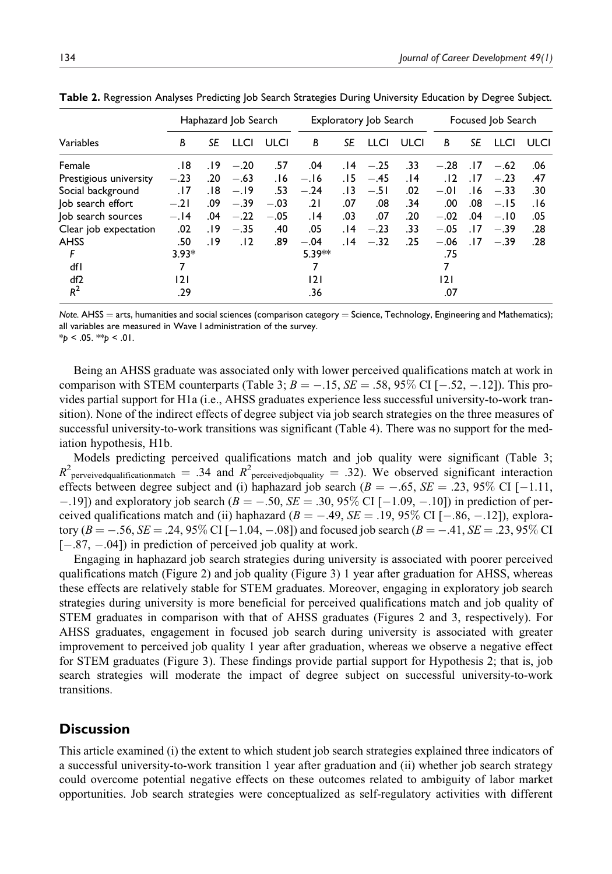|                        |         |     | Haphazard Job Search |        |           |       | Exploratory Job Search |             |        |     | Focused Job Search |      |
|------------------------|---------|-----|----------------------|--------|-----------|-------|------------------------|-------------|--------|-----|--------------------|------|
| Variables              | B       | SE  | <b>LLCI</b>          | ULCI   | B         | SE    | <b>LLCI</b>            | <b>ULCI</b> | В      | SE  | <b>LLCI</b>        | ULCI |
| Female                 | 18.     | .19 | $-.20$               | .57    | .04       | . 14  | $-.25$                 | .33         | $-.28$ | .17 | $-.62$             | .06  |
| Prestigious university | $-.23$  | .20 | $-.63$               | 16.    | $-.16$    | 15.   | $-.45$                 | .14         | .12    | .17 | $-.23$             | .47  |
| Social background      | .17     | 18. | $-.19$               | .53    | $-.24$    | . I 3 | $-.51$                 | .02         | $-.01$ | 16. | $-.33$             | .30  |
| Job search effort      | $-.21$  | .09 | $-.39$               | $-.03$ | .21       | .07   | .08                    | .34         | .00    | .08 | $-.15$             | 16.  |
| Job search sources     | $-.14$  | .04 | $-.22$               | $-.05$ | 14.       | .03   | .07                    | .20         | $-.02$ | .04 | $-.10$             | .05  |
| Clear job expectation  | .02     | 19. | $-.35$               | .40    | .05       | . 14  | $-.23$                 | .33         | $-.05$ | .17 | $-.39$             | .28  |
| <b>AHSS</b>            | .50     | 19. | .12                  | .89    | $-.04$    | . 14  | $-.32$                 | .25         | $-.06$ | .17 | $-.39$             | .28  |
| F                      | $3.93*$ |     |                      |        | $5.39***$ |       |                        |             | .75    |     |                    |      |
| dfl                    | 7       |     |                      |        |           |       |                        |             | 7      |     |                    |      |
| df <sub>2</sub>        | 2       |     |                      |        | 2         |       |                        |             | 2      |     |                    |      |
| $R^2$                  | .29     |     |                      |        | .36       |       |                        |             | .07    |     |                    |      |

**Table 2.** Regression Analyses Predicting Job Search Strategies During University Education by Degree Subject.

*Note.* AHSS = arts, humanities and social sciences (comparison category = Science, Technology, Engineering and Mathematics); all variables are measured in Wave I administration of the survey.

\**p* < .05. \*\**p* < .01.

Being an AHSS graduate was associated only with lower perceived qualifications match at work in comparison with STEM counterparts (Table 3;  $B = -.15$ ,  $SE = .58$ , 95% CI [ $-.52$ ,  $-.12$ ]). This provides partial support for H1a (i.e., AHSS graduates experience less successful university-to-work transition). None of the indirect effects of degree subject via job search strategies on the three measures of successful university-to-work transitions was significant (Table 4). There was no support for the mediation hypothesis, H1b.

Models predicting perceived qualifications match and job quality were significant (Table 3;  $R^2$  perveivedqualificationmatch = .34 and  $R^2$  perceivedjobquality = .32). We observed significant interaction effects between degree subject and (i) haphazard job search ( $B = -.65$ ,  $SE = .23$ , 95% CI [-1.11,  $-19$ ]) and exploratory job search ( $B = -.50$ ,  $SE = .30$ ,  $95\%$  CI [ $-1.09$ ,  $-.10$ ]) in prediction of perceived qualifications match and (ii) haphazard  $(B = -.49, SE = .19, 95\%$  CI  $[-.86, -.12]$ ), exploratory  $(B = -.56, SE = .24, 95\% \text{ CI} [-1.04, -.08])$  and focused job search  $(B = -.41, SE = .23, 95\% \text{ CI}$  $[-.87, -.04]$ ) in prediction of perceived job quality at work.

Engaging in haphazard job search strategies during university is associated with poorer perceived qualifications match (Figure 2) and job quality (Figure 3) 1 year after graduation for AHSS, whereas these effects are relatively stable for STEM graduates. Moreover, engaging in exploratory job search strategies during university is more beneficial for perceived qualifications match and job quality of STEM graduates in comparison with that of AHSS graduates (Figures 2 and 3, respectively). For AHSS graduates, engagement in focused job search during university is associated with greater improvement to perceived job quality 1 year after graduation, whereas we observe a negative effect for STEM graduates (Figure 3). These findings provide partial support for Hypothesis 2; that is, job search strategies will moderate the impact of degree subject on successful university-to-work transitions.

# **Discussion**

This article examined (i) the extent to which student job search strategies explained three indicators of a successful university-to-work transition 1 year after graduation and (ii) whether job search strategy could overcome potential negative effects on these outcomes related to ambiguity of labor market opportunities. Job search strategies were conceptualized as self-regulatory activities with different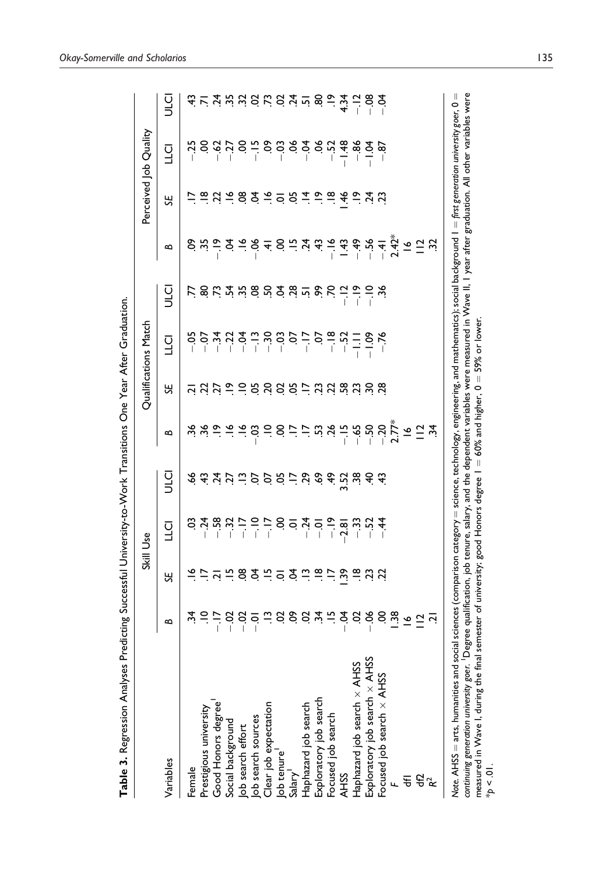|                                                                                                                                                                                                                                                                                                                                                                                     |                                                                                                                                                                                                                                                                                                                                                           |   | Skill Use                                                                         |                                                                                                                                                                                                                                                                                                                                                                                                                                                                                               |                                                                                                                                                                                                                                                                                                                                                                                                                                                                                                       |   | Qualifications Match |                                                                                                                                                                                                                                |                                                                                                                                                                                                                                                                                                                     |                                         | Perceived Job Quality |                                                                                                                                                                                                                                                                                                                                                                                                                                                                                                                                                                            |
|-------------------------------------------------------------------------------------------------------------------------------------------------------------------------------------------------------------------------------------------------------------------------------------------------------------------------------------------------------------------------------------|-----------------------------------------------------------------------------------------------------------------------------------------------------------------------------------------------------------------------------------------------------------------------------------------------------------------------------------------------------------|---|-----------------------------------------------------------------------------------|-----------------------------------------------------------------------------------------------------------------------------------------------------------------------------------------------------------------------------------------------------------------------------------------------------------------------------------------------------------------------------------------------------------------------------------------------------------------------------------------------|-------------------------------------------------------------------------------------------------------------------------------------------------------------------------------------------------------------------------------------------------------------------------------------------------------------------------------------------------------------------------------------------------------------------------------------------------------------------------------------------------------|---|----------------------|--------------------------------------------------------------------------------------------------------------------------------------------------------------------------------------------------------------------------------|---------------------------------------------------------------------------------------------------------------------------------------------------------------------------------------------------------------------------------------------------------------------------------------------------------------------|-----------------------------------------|-----------------------|----------------------------------------------------------------------------------------------------------------------------------------------------------------------------------------------------------------------------------------------------------------------------------------------------------------------------------------------------------------------------------------------------------------------------------------------------------------------------------------------------------------------------------------------------------------------------|
| Variables                                                                                                                                                                                                                                                                                                                                                                           | ≃                                                                                                                                                                                                                                                                                                                                                         | К | $\overline{C}$                                                                    | u<br>J                                                                                                                                                                                                                                                                                                                                                                                                                                                                                        | ≃                                                                                                                                                                                                                                                                                                                                                                                                                                                                                                     | 닍 | 디<br>니               | u<br>J                                                                                                                                                                                                                         | ≃                                                                                                                                                                                                                                                                                                                   | 닍                                       | <b>ULCI</b>           | u<br>J                                                                                                                                                                                                                                                                                                                                                                                                                                                                                                                                                                     |
| Female                                                                                                                                                                                                                                                                                                                                                                              | ર્ખ                                                                                                                                                                                                                                                                                                                                                       |   |                                                                                   |                                                                                                                                                                                                                                                                                                                                                                                                                                                                                               |                                                                                                                                                                                                                                                                                                                                                                                                                                                                                                       |   | $-50$                |                                                                                                                                                                                                                                |                                                                                                                                                                                                                                                                                                                     |                                         |                       |                                                                                                                                                                                                                                                                                                                                                                                                                                                                                                                                                                            |
| Prestigious university                                                                                                                                                                                                                                                                                                                                                              |                                                                                                                                                                                                                                                                                                                                                           |   | $3.4887 - 5.58 - 4.58$<br>$3.4887 - 5.58 - 8.57 - 8.58$<br>$3.4887 - 5.58 - 8.58$ | $\begin{array}{c} \mathcal{A}\ \ \mathcal{A}\ \ \mathcal{A}\ \ \mathcal{C}\ \ \mathcal{C}\ \ \mathcal{C}\ \ \mathcal{C}\ \ \mathcal{C}\ \ \mathcal{C}\ \ \mathcal{C}\ \ \mathcal{C}\ \ \mathcal{C}\ \ \mathcal{C}\ \ \mathcal{C}\ \ \mathcal{C}\ \ \mathcal{C}\ \ \mathcal{C}\ \ \mathcal{C}\ \ \mathcal{C}\ \ \mathcal{C}\ \ \mathcal{C}\ \ \mathcal{C}\ \ \mathcal{C}\ \ \mathcal{C}\ \ \mathcal{C}\ \ \mathcal{C}\ \ \mathcal{C}\ \ \mathcal{C}\ \ \mathcal{C}\ \ \mathcal{C}\ \ \mathcal$ | $\overset{.6}{\approx} \overset{.6}{\approx} \overset{.6}{\approx} \overset{.6}{\approx} \overset{.6}{\approx} \overset{.6}{\approx} \overset{.6}{\approx} \overset{.6}{\approx} \overset{.6}{\approx} \overset{.6}{\approx} \overset{.6}{\approx} \overset{.6}{\approx} \overset{.6}{\approx} \overset{.6}{\approx} \overset{.6}{\approx} \overset{.6}{\approx} \overset{.6}{\approx} \overset{.6}{\approx} \overset{.6}{\approx} \overset{.6}{\approx} \overset{.6}{\approx} \overset{.6}{\approx}$ |   |                      | $1.86$ $1.47$ $1.98$ $1.96$ $1.49$ $1.49$ $1.49$ $1.49$ $1.49$ $1.49$ $1.49$ $1.49$ $1.49$ $1.49$ $1.49$ $1.49$ $1.49$ $1.49$ $1.49$ $1.49$ $1.49$ $1.49$ $1.49$ $1.49$ $1.49$ $1.49$ $1.49$ $1.49$ $1.49$ $1.49$ $1.49$ $1.4$ | $\frac{1}{3}$ $\frac{1}{3}$ $\frac{1}{3}$ $\frac{1}{4}$ $\frac{1}{3}$ $\frac{1}{4}$ $\frac{1}{3}$ $\frac{1}{4}$ $\frac{1}{3}$ $\frac{1}{4}$ $\frac{1}{4}$ $\frac{1}{3}$ $\frac{1}{4}$ $\frac{1}{3}$ $\frac{1}{4}$ $\frac{1}{4}$ $\frac{1}{4}$ $\frac{1}{4}$ $\frac{1}{2}$ $\frac{1}{3}$ $\frac{1}{4}$ $\frac{1}{5}$ |                                         |                       | $\begin{array}{cccccccccc} \dot{\alpha} & \dot{\alpha} & \dot{\alpha} & \dot{\alpha} & \dot{\alpha} & \dot{\alpha} & \dot{\alpha} & \dot{\alpha} & \dot{\alpha} & \dot{\alpha} & \dot{\alpha} & \dot{\alpha} & \dot{\alpha} & \dot{\alpha} & \dot{\alpha} & \dot{\alpha} & \dot{\alpha} & \dot{\alpha} & \dot{\alpha} & \dot{\alpha} & \dot{\alpha} & \dot{\alpha} & \dot{\alpha} & \dot{\alpha} & \dot{\alpha} & \dot{\alpha} & \dot{\alpha} & \dot{\alpha} & \dot{\alpha} & \dot{\alpha} & \dot{\alpha} & \dot{\alpha} & \dot{\alpha} & \dot{\alpha} & \dot{\alpha} & \$ |
|                                                                                                                                                                                                                                                                                                                                                                                     |                                                                                                                                                                                                                                                                                                                                                           |   |                                                                                   |                                                                                                                                                                                                                                                                                                                                                                                                                                                                                               |                                                                                                                                                                                                                                                                                                                                                                                                                                                                                                       |   |                      |                                                                                                                                                                                                                                |                                                                                                                                                                                                                                                                                                                     |                                         |                       |                                                                                                                                                                                                                                                                                                                                                                                                                                                                                                                                                                            |
| Good Honors degree<br>Social background<br>Job search effort<br>Job search sources<br>Clear job expectation<br>Ole tenure                                                                                                                                                                                                                                                           | $\frac{1}{2}$ $\frac{1}{2}$ $\frac{1}{2}$ $\frac{1}{3}$ $\frac{1}{6}$ $\frac{1}{2}$ $\frac{1}{3}$ $\frac{1}{6}$ $\frac{1}{6}$ $\frac{1}{3}$ $\frac{1}{6}$ $\frac{1}{3}$ $\frac{1}{6}$ $\frac{1}{3}$ $\frac{1}{6}$ $\frac{1}{3}$ $\frac{1}{6}$ $\frac{1}{3}$ $\frac{1}{6}$ $\frac{1}{3}$ $\frac{1}{6}$ $\frac{1}{3}$ $\frac{1}{6}$ $\frac{1}{3}$ $\frac{1$ |   |                                                                                   |                                                                                                                                                                                                                                                                                                                                                                                                                                                                                               |                                                                                                                                                                                                                                                                                                                                                                                                                                                                                                       |   |                      |                                                                                                                                                                                                                                |                                                                                                                                                                                                                                                                                                                     | <u>e d a g q a e e d a e e a fe y d</u> |                       |                                                                                                                                                                                                                                                                                                                                                                                                                                                                                                                                                                            |
|                                                                                                                                                                                                                                                                                                                                                                                     |                                                                                                                                                                                                                                                                                                                                                           |   |                                                                                   |                                                                                                                                                                                                                                                                                                                                                                                                                                                                                               |                                                                                                                                                                                                                                                                                                                                                                                                                                                                                                       |   |                      |                                                                                                                                                                                                                                |                                                                                                                                                                                                                                                                                                                     |                                         |                       |                                                                                                                                                                                                                                                                                                                                                                                                                                                                                                                                                                            |
|                                                                                                                                                                                                                                                                                                                                                                                     |                                                                                                                                                                                                                                                                                                                                                           |   |                                                                                   |                                                                                                                                                                                                                                                                                                                                                                                                                                                                                               |                                                                                                                                                                                                                                                                                                                                                                                                                                                                                                       |   |                      |                                                                                                                                                                                                                                |                                                                                                                                                                                                                                                                                                                     |                                         |                       |                                                                                                                                                                                                                                                                                                                                                                                                                                                                                                                                                                            |
|                                                                                                                                                                                                                                                                                                                                                                                     |                                                                                                                                                                                                                                                                                                                                                           |   |                                                                                   |                                                                                                                                                                                                                                                                                                                                                                                                                                                                                               |                                                                                                                                                                                                                                                                                                                                                                                                                                                                                                       |   |                      |                                                                                                                                                                                                                                |                                                                                                                                                                                                                                                                                                                     |                                         |                       |                                                                                                                                                                                                                                                                                                                                                                                                                                                                                                                                                                            |
|                                                                                                                                                                                                                                                                                                                                                                                     |                                                                                                                                                                                                                                                                                                                                                           |   |                                                                                   |                                                                                                                                                                                                                                                                                                                                                                                                                                                                                               |                                                                                                                                                                                                                                                                                                                                                                                                                                                                                                       |   |                      |                                                                                                                                                                                                                                |                                                                                                                                                                                                                                                                                                                     |                                         |                       |                                                                                                                                                                                                                                                                                                                                                                                                                                                                                                                                                                            |
|                                                                                                                                                                                                                                                                                                                                                                                     |                                                                                                                                                                                                                                                                                                                                                           |   |                                                                                   |                                                                                                                                                                                                                                                                                                                                                                                                                                                                                               |                                                                                                                                                                                                                                                                                                                                                                                                                                                                                                       |   |                      |                                                                                                                                                                                                                                |                                                                                                                                                                                                                                                                                                                     |                                         |                       |                                                                                                                                                                                                                                                                                                                                                                                                                                                                                                                                                                            |
| Haphazard job search                                                                                                                                                                                                                                                                                                                                                                |                                                                                                                                                                                                                                                                                                                                                           |   |                                                                                   |                                                                                                                                                                                                                                                                                                                                                                                                                                                                                               |                                                                                                                                                                                                                                                                                                                                                                                                                                                                                                       |   |                      |                                                                                                                                                                                                                                |                                                                                                                                                                                                                                                                                                                     |                                         |                       |                                                                                                                                                                                                                                                                                                                                                                                                                                                                                                                                                                            |
|                                                                                                                                                                                                                                                                                                                                                                                     |                                                                                                                                                                                                                                                                                                                                                           |   |                                                                                   |                                                                                                                                                                                                                                                                                                                                                                                                                                                                                               |                                                                                                                                                                                                                                                                                                                                                                                                                                                                                                       |   |                      |                                                                                                                                                                                                                                |                                                                                                                                                                                                                                                                                                                     |                                         |                       |                                                                                                                                                                                                                                                                                                                                                                                                                                                                                                                                                                            |
| Exploratory job search<br>Focused job search                                                                                                                                                                                                                                                                                                                                        |                                                                                                                                                                                                                                                                                                                                                           |   |                                                                                   |                                                                                                                                                                                                                                                                                                                                                                                                                                                                                               |                                                                                                                                                                                                                                                                                                                                                                                                                                                                                                       |   |                      |                                                                                                                                                                                                                                |                                                                                                                                                                                                                                                                                                                     |                                         |                       |                                                                                                                                                                                                                                                                                                                                                                                                                                                                                                                                                                            |
| <b>AHSS</b>                                                                                                                                                                                                                                                                                                                                                                         |                                                                                                                                                                                                                                                                                                                                                           |   |                                                                                   |                                                                                                                                                                                                                                                                                                                                                                                                                                                                                               |                                                                                                                                                                                                                                                                                                                                                                                                                                                                                                       |   |                      |                                                                                                                                                                                                                                |                                                                                                                                                                                                                                                                                                                     |                                         |                       |                                                                                                                                                                                                                                                                                                                                                                                                                                                                                                                                                                            |
| Haphazard job search × AHSS                                                                                                                                                                                                                                                                                                                                                         |                                                                                                                                                                                                                                                                                                                                                           |   |                                                                                   |                                                                                                                                                                                                                                                                                                                                                                                                                                                                                               |                                                                                                                                                                                                                                                                                                                                                                                                                                                                                                       |   |                      |                                                                                                                                                                                                                                |                                                                                                                                                                                                                                                                                                                     |                                         |                       |                                                                                                                                                                                                                                                                                                                                                                                                                                                                                                                                                                            |
| Exploratory job search x AHSS                                                                                                                                                                                                                                                                                                                                                       |                                                                                                                                                                                                                                                                                                                                                           |   |                                                                                   |                                                                                                                                                                                                                                                                                                                                                                                                                                                                                               |                                                                                                                                                                                                                                                                                                                                                                                                                                                                                                       |   |                      |                                                                                                                                                                                                                                |                                                                                                                                                                                                                                                                                                                     |                                         |                       |                                                                                                                                                                                                                                                                                                                                                                                                                                                                                                                                                                            |
| Focused job search $\times$ AHSS                                                                                                                                                                                                                                                                                                                                                    |                                                                                                                                                                                                                                                                                                                                                           |   |                                                                                   |                                                                                                                                                                                                                                                                                                                                                                                                                                                                                               |                                                                                                                                                                                                                                                                                                                                                                                                                                                                                                       |   |                      |                                                                                                                                                                                                                                |                                                                                                                                                                                                                                                                                                                     |                                         |                       |                                                                                                                                                                                                                                                                                                                                                                                                                                                                                                                                                                            |
|                                                                                                                                                                                                                                                                                                                                                                                     |                                                                                                                                                                                                                                                                                                                                                           |   |                                                                                   |                                                                                                                                                                                                                                                                                                                                                                                                                                                                                               |                                                                                                                                                                                                                                                                                                                                                                                                                                                                                                       |   |                      |                                                                                                                                                                                                                                |                                                                                                                                                                                                                                                                                                                     |                                         |                       |                                                                                                                                                                                                                                                                                                                                                                                                                                                                                                                                                                            |
|                                                                                                                                                                                                                                                                                                                                                                                     |                                                                                                                                                                                                                                                                                                                                                           |   |                                                                                   |                                                                                                                                                                                                                                                                                                                                                                                                                                                                                               |                                                                                                                                                                                                                                                                                                                                                                                                                                                                                                       |   |                      |                                                                                                                                                                                                                                |                                                                                                                                                                                                                                                                                                                     |                                         |                       |                                                                                                                                                                                                                                                                                                                                                                                                                                                                                                                                                                            |
| $E^2_{\kappa}$                                                                                                                                                                                                                                                                                                                                                                      |                                                                                                                                                                                                                                                                                                                                                           |   |                                                                                   |                                                                                                                                                                                                                                                                                                                                                                                                                                                                                               |                                                                                                                                                                                                                                                                                                                                                                                                                                                                                                       |   |                      |                                                                                                                                                                                                                                |                                                                                                                                                                                                                                                                                                                     |                                         |                       |                                                                                                                                                                                                                                                                                                                                                                                                                                                                                                                                                                            |
|                                                                                                                                                                                                                                                                                                                                                                                     |                                                                                                                                                                                                                                                                                                                                                           |   |                                                                                   |                                                                                                                                                                                                                                                                                                                                                                                                                                                                                               |                                                                                                                                                                                                                                                                                                                                                                                                                                                                                                       |   |                      |                                                                                                                                                                                                                                |                                                                                                                                                                                                                                                                                                                     |                                         |                       |                                                                                                                                                                                                                                                                                                                                                                                                                                                                                                                                                                            |
| Note. AHSS = arts, humanities and social sciences (comparison category = science, technology, engineering, and mathematics); social background 1 = first generation university goer, 0 =<br>measured in Wave I, during the final semester of university; good Honors degree $1 = 60\%$ and higher, $0 =$<br>continuing generation university goer. <sup>1</sup> Degre<br>$10^{+10}$ |                                                                                                                                                                                                                                                                                                                                                           |   |                                                                                   |                                                                                                                                                                                                                                                                                                                                                                                                                                                                                               |                                                                                                                                                                                                                                                                                                                                                                                                                                                                                                       |   | 59% or lower         |                                                                                                                                                                                                                                | e qualification, job tenure, salary, and the dependent variables were measured in Wave II, I year after graduation. All other variables were                                                                                                                                                                        |                                         |                       |                                                                                                                                                                                                                                                                                                                                                                                                                                                                                                                                                                            |

Table 3. Regression Analyses Predicting Successful University-to-Work Transitions One Year After Graduation. **Table 3.** Regression Analyses Predicting Successful University-to-Work Transitions One Year After Graduation.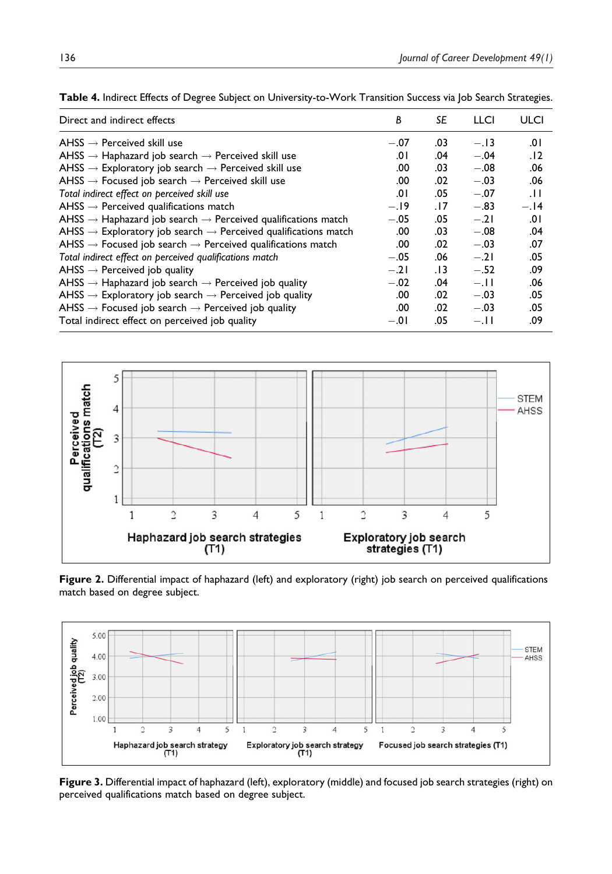| Direct and indirect effects                                                            | B      | SE    | LLCI   | ULCI   |
|----------------------------------------------------------------------------------------|--------|-------|--------|--------|
| AHSS $\rightarrow$ Perceived skill use                                                 | $-.07$ | .03   | $-.13$ | 0۱.    |
| AHSS $\rightarrow$ Haphazard job search $\rightarrow$ Perceived skill use              | .0۱    | .04   | $-.04$ | .12    |
| AHSS $\rightarrow$ Exploratory job search $\rightarrow$ Perceived skill use            | .00    | .03   | $-.08$ | .06    |
| AHSS $\rightarrow$ Focused job search $\rightarrow$ Perceived skill use                | .00    | .02   | $-.03$ | .06    |
| Total indirect effect on perceived skill use                                           | .0۱    | .05   | $-.07$ | .11    |
| AHSS $\rightarrow$ Perceived qualifications match                                      | $-.19$ | .17   | $-.83$ | $-.14$ |
| AHSS $\rightarrow$ Haphazard job search $\rightarrow$ Perceived qualifications match   | $-.05$ | .05   | $-.21$ | .01    |
| AHSS $\rightarrow$ Exploratory job search $\rightarrow$ Perceived qualifications match | .00    | .03   | $-.08$ | .04    |
| AHSS $\rightarrow$ Focused job search $\rightarrow$ Perceived qualifications match     | .00    | .02   | $-.03$ | .07    |
| Total indirect effect on perceived qualifications match                                | $-.05$ | .06   | $-.21$ | .05    |
| $AHSS \rightarrow$ Perceived job quality                                               | $-.21$ | . I 3 | $-.52$ | .09    |
| AHSS $\rightarrow$ Haphazard job search $\rightarrow$ Perceived job quality            | $-.02$ | .04   | $-.11$ | .06    |
| AHSS $\rightarrow$ Exploratory job search $\rightarrow$ Perceived job quality          | .00    | .02   | $-.03$ | .05    |
| AHSS $\rightarrow$ Focused job search $\rightarrow$ Perceived job quality              | .00    | .02   | $-.03$ | .05    |
| Total indirect effect on perceived job quality                                         | $-.01$ | .05   | $-.11$ | .09    |
|                                                                                        |        |       |        |        |



**Figure 2.** Differential impact of haphazard (left) and exploratory (right) job search on perceived qualifications match based on degree subject.



**Figure 3.** Differential impact of haphazard (left), exploratory (middle) and focused job search strategies (right) on perceived qualifications match based on degree subject.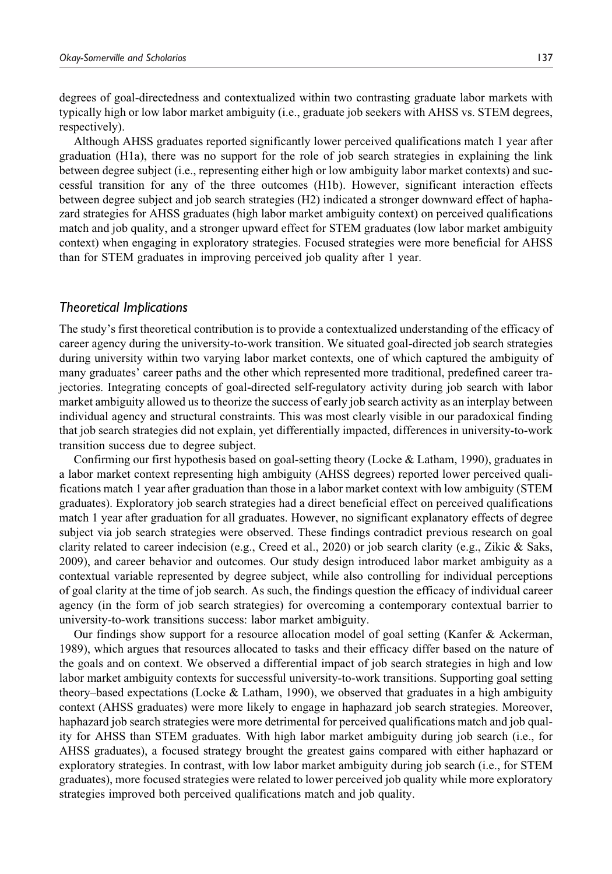degrees of goal-directedness and contextualized within two contrasting graduate labor markets with typically high or low labor market ambiguity (i.e., graduate job seekers with AHSS vs. STEM degrees, respectively).

Although AHSS graduates reported significantly lower perceived qualifications match 1 year after graduation (H1a), there was no support for the role of job search strategies in explaining the link between degree subject (i.e., representing either high or low ambiguity labor market contexts) and successful transition for any of the three outcomes (H1b). However, significant interaction effects between degree subject and job search strategies (H2) indicated a stronger downward effect of haphazard strategies for AHSS graduates (high labor market ambiguity context) on perceived qualifications match and job quality, and a stronger upward effect for STEM graduates (low labor market ambiguity context) when engaging in exploratory strategies. Focused strategies were more beneficial for AHSS than for STEM graduates in improving perceived job quality after 1 year.

### *Theoretical Implications*

The study's first theoretical contribution is to provide a contextualized understanding of the efficacy of career agency during the university-to-work transition. We situated goal-directed job search strategies during university within two varying labor market contexts, one of which captured the ambiguity of many graduates' career paths and the other which represented more traditional, predefined career trajectories. Integrating concepts of goal-directed self-regulatory activity during job search with labor market ambiguity allowed us to theorize the success of early job search activity as an interplay between individual agency and structural constraints. This was most clearly visible in our paradoxical finding that job search strategies did not explain, yet differentially impacted, differences in university-to-work transition success due to degree subject.

Confirming our first hypothesis based on goal-setting theory (Locke & Latham, 1990), graduates in a labor market context representing high ambiguity (AHSS degrees) reported lower perceived qualifications match 1 year after graduation than those in a labor market context with low ambiguity (STEM graduates). Exploratory job search strategies had a direct beneficial effect on perceived qualifications match 1 year after graduation for all graduates. However, no significant explanatory effects of degree subject via job search strategies were observed. These findings contradict previous research on goal clarity related to career indecision (e.g., Creed et al., 2020) or job search clarity (e.g., Zikic & Saks, 2009), and career behavior and outcomes. Our study design introduced labor market ambiguity as a contextual variable represented by degree subject, while also controlling for individual perceptions of goal clarity at the time of job search. As such, the findings question the efficacy of individual career agency (in the form of job search strategies) for overcoming a contemporary contextual barrier to university-to-work transitions success: labor market ambiguity.

Our findings show support for a resource allocation model of goal setting (Kanfer & Ackerman, 1989), which argues that resources allocated to tasks and their efficacy differ based on the nature of the goals and on context. We observed a differential impact of job search strategies in high and low labor market ambiguity contexts for successful university-to-work transitions. Supporting goal setting theory–based expectations (Locke  $\&$  Latham, 1990), we observed that graduates in a high ambiguity context (AHSS graduates) were more likely to engage in haphazard job search strategies. Moreover, haphazard job search strategies were more detrimental for perceived qualifications match and job quality for AHSS than STEM graduates. With high labor market ambiguity during job search (i.e., for AHSS graduates), a focused strategy brought the greatest gains compared with either haphazard or exploratory strategies. In contrast, with low labor market ambiguity during job search (i.e., for STEM graduates), more focused strategies were related to lower perceived job quality while more exploratory strategies improved both perceived qualifications match and job quality.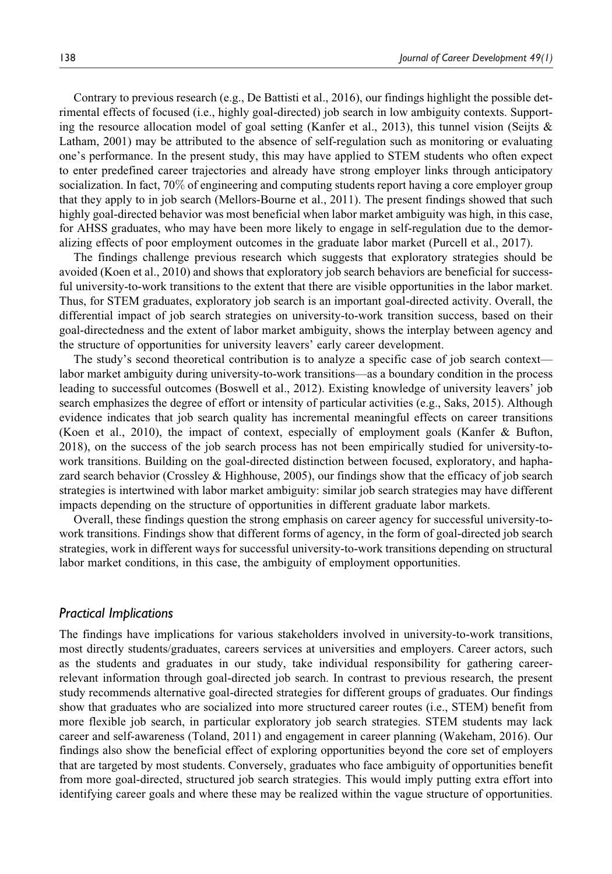Contrary to previous research (e.g., De Battisti et al., 2016), our findings highlight the possible detrimental effects of focused (i.e., highly goal-directed) job search in low ambiguity contexts. Supporting the resource allocation model of goal setting (Kanfer et al., 2013), this tunnel vision (Seijts & Latham, 2001) may be attributed to the absence of self-regulation such as monitoring or evaluating one's performance. In the present study, this may have applied to STEM students who often expect to enter predefined career trajectories and already have strong employer links through anticipatory socialization. In fact, 70% of engineering and computing students report having a core employer group that they apply to in job search (Mellors-Bourne et al., 2011). The present findings showed that such highly goal-directed behavior was most beneficial when labor market ambiguity was high, in this case, for AHSS graduates, who may have been more likely to engage in self-regulation due to the demoralizing effects of poor employment outcomes in the graduate labor market (Purcell et al., 2017).

The findings challenge previous research which suggests that exploratory strategies should be avoided (Koen et al., 2010) and shows that exploratory job search behaviors are beneficial for successful university-to-work transitions to the extent that there are visible opportunities in the labor market. Thus, for STEM graduates, exploratory job search is an important goal-directed activity. Overall, the differential impact of job search strategies on university-to-work transition success, based on their goal-directedness and the extent of labor market ambiguity, shows the interplay between agency and the structure of opportunities for university leavers' early career development.

The study's second theoretical contribution is to analyze a specific case of job search context labor market ambiguity during university-to-work transitions—as a boundary condition in the process leading to successful outcomes (Boswell et al., 2012). Existing knowledge of university leavers' job search emphasizes the degree of effort or intensity of particular activities (e.g., Saks, 2015). Although evidence indicates that job search quality has incremental meaningful effects on career transitions (Koen et al., 2010), the impact of context, especially of employment goals (Kanfer & Bufton, 2018), on the success of the job search process has not been empirically studied for university-towork transitions. Building on the goal-directed distinction between focused, exploratory, and haphazard search behavior (Crossley & Highhouse, 2005), our findings show that the efficacy of job search strategies is intertwined with labor market ambiguity: similar job search strategies may have different impacts depending on the structure of opportunities in different graduate labor markets.

Overall, these findings question the strong emphasis on career agency for successful university-towork transitions. Findings show that different forms of agency, in the form of goal-directed job search strategies, work in different ways for successful university-to-work transitions depending on structural labor market conditions, in this case, the ambiguity of employment opportunities.

### *Practical Implications*

The findings have implications for various stakeholders involved in university-to-work transitions, most directly students/graduates, careers services at universities and employers. Career actors, such as the students and graduates in our study, take individual responsibility for gathering careerrelevant information through goal-directed job search. In contrast to previous research, the present study recommends alternative goal-directed strategies for different groups of graduates. Our findings show that graduates who are socialized into more structured career routes (i.e., STEM) benefit from more flexible job search, in particular exploratory job search strategies. STEM students may lack career and self-awareness (Toland, 2011) and engagement in career planning (Wakeham, 2016). Our findings also show the beneficial effect of exploring opportunities beyond the core set of employers that are targeted by most students. Conversely, graduates who face ambiguity of opportunities benefit from more goal-directed, structured job search strategies. This would imply putting extra effort into identifying career goals and where these may be realized within the vague structure of opportunities.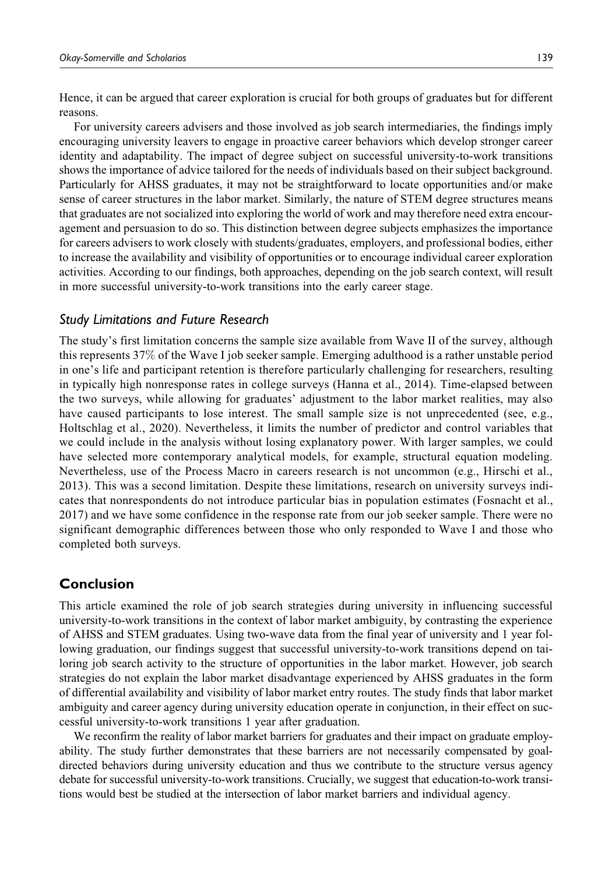Hence, it can be argued that career exploration is crucial for both groups of graduates but for different reasons.

For university careers advisers and those involved as job search intermediaries, the findings imply encouraging university leavers to engage in proactive career behaviors which develop stronger career identity and adaptability. The impact of degree subject on successful university-to-work transitions shows the importance of advice tailored for the needs of individuals based on their subject background. Particularly for AHSS graduates, it may not be straightforward to locate opportunities and/or make sense of career structures in the labor market. Similarly, the nature of STEM degree structures means that graduates are not socialized into exploring the world of work and may therefore need extra encouragement and persuasion to do so. This distinction between degree subjects emphasizes the importance for careers advisers to work closely with students/graduates, employers, and professional bodies, either to increase the availability and visibility of opportunities or to encourage individual career exploration activities. According to our findings, both approaches, depending on the job search context, will result in more successful university-to-work transitions into the early career stage.

### *Study Limitations and Future Research*

The study's first limitation concerns the sample size available from Wave II of the survey, although this represents 37% of the Wave I job seeker sample. Emerging adulthood is a rather unstable period in one's life and participant retention is therefore particularly challenging for researchers, resulting in typically high nonresponse rates in college surveys (Hanna et al., 2014). Time-elapsed between the two surveys, while allowing for graduates' adjustment to the labor market realities, may also have caused participants to lose interest. The small sample size is not unprecedented (see, e.g., Holtschlag et al., 2020). Nevertheless, it limits the number of predictor and control variables that we could include in the analysis without losing explanatory power. With larger samples, we could have selected more contemporary analytical models, for example, structural equation modeling. Nevertheless, use of the Process Macro in careers research is not uncommon (e.g., Hirschi et al., 2013). This was a second limitation. Despite these limitations, research on university surveys indicates that nonrespondents do not introduce particular bias in population estimates (Fosnacht et al., 2017) and we have some confidence in the response rate from our job seeker sample. There were no significant demographic differences between those who only responded to Wave I and those who completed both surveys.

### **Conclusion**

This article examined the role of job search strategies during university in influencing successful university-to-work transitions in the context of labor market ambiguity, by contrasting the experience of AHSS and STEM graduates. Using two-wave data from the final year of university and 1 year following graduation, our findings suggest that successful university-to-work transitions depend on tailoring job search activity to the structure of opportunities in the labor market. However, job search strategies do not explain the labor market disadvantage experienced by AHSS graduates in the form of differential availability and visibility of labor market entry routes. The study finds that labor market ambiguity and career agency during university education operate in conjunction, in their effect on successful university-to-work transitions 1 year after graduation.

We reconfirm the reality of labor market barriers for graduates and their impact on graduate employability. The study further demonstrates that these barriers are not necessarily compensated by goaldirected behaviors during university education and thus we contribute to the structure versus agency debate for successful university-to-work transitions. Crucially, we suggest that education-to-work transitions would best be studied at the intersection of labor market barriers and individual agency.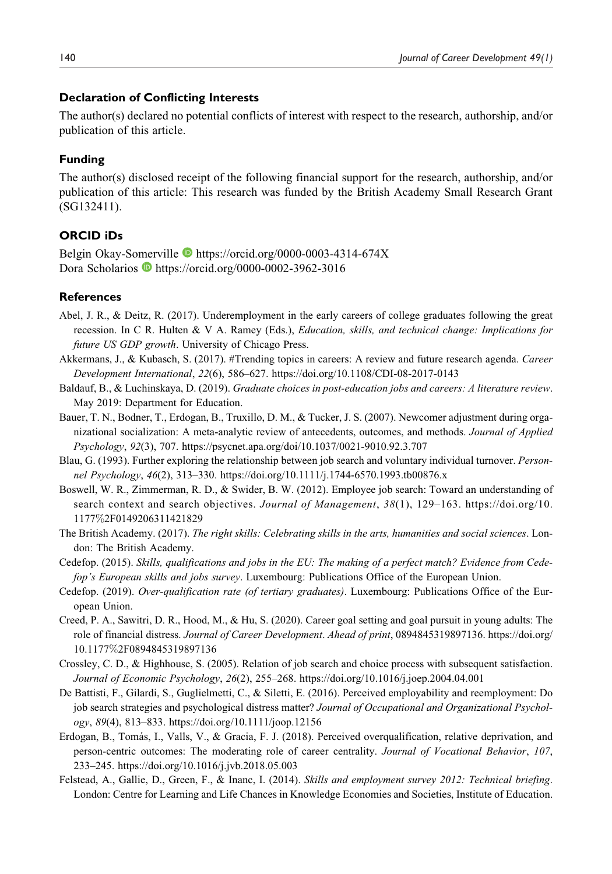### **Declaration of Conflicting Interests**

The author(s) declared no potential conflicts of interest with respect to the research, authorship, and/or publication of this article.

### **Funding**

The author(s) disclosed receipt of the following financial support for the research, authorship, and/or publication of this article: This research was funded by the British Academy Small Research Grant (SG132411).

### **ORCID iDs**

Belgin Okay-Somerville https://orcid.org/0000-0003-4314-674X Dora Scholarios **b** https://orcid.org/0000-0002-3962-3016

### **References**

- Abel, J. R., & Deitz, R. (2017). Underemployment in the early careers of college graduates following the great recession. In C R. Hulten & V A. Ramey (Eds.), *Education, skills, and technical change: Implications for* future US GDP growth. University of Chicago Press.
- Akkermans, J., & Kubasch, S. (2017). #Trending topics in careers: A review and future research agenda. Career Development International, 22(6), 586–627. https://doi.org/10.1108/CDI-08-2017-0143
- Baldauf, B., & Luchinskaya, D. (2019). Graduate choices in post-education jobs and careers: A literature review. May 2019: Department for Education.
- Bauer, T. N., Bodner, T., Erdogan, B., Truxillo, D. M., & Tucker, J. S. (2007). Newcomer adjustment during organizational socialization: A meta-analytic review of antecedents, outcomes, and methods. Journal of Applied Psychology, 92(3), 707. https://psycnet.apa.org/doi/10.1037/0021-9010.92.3.707
- Blau, G. (1993). Further exploring the relationship between job search and voluntary individual turnover. Personnel Psychology, 46(2), 313–330. https://doi.org/10.1111/j.1744-6570.1993.tb00876.x
- Boswell, W. R., Zimmerman, R. D., & Swider, B. W. (2012). Employee job search: Toward an understanding of search context and search objectives. Journal of Management, 38(1), 129-163. https://doi.org/10. 1177%2F0149206311421829
- The British Academy. (2017). The right skills: Celebrating skills in the arts, humanities and social sciences. London: The British Academy.
- Cedefop. (2015). Skills, qualifications and jobs in the EU: The making of a perfect match? Evidence from Cedefop's European skills and jobs survey. Luxembourg: Publications Office of the European Union.
- Cedefop. (2019). Over-qualification rate (of tertiary graduates). Luxembourg: Publications Office of the European Union.
- Creed, P. A., Sawitri, D. R., Hood, M., & Hu, S. (2020). Career goal setting and goal pursuit in young adults: The role of financial distress. Journal of Career Development. Ahead of print, 0894845319897136. https://doi.org/ 10.1177%2F0894845319897136
- Crossley, C. D., & Highhouse, S. (2005). Relation of job search and choice process with subsequent satisfaction. Journal of Economic Psychology, 26(2), 255–268. https://doi.org/10.1016/j.joep.2004.04.001
- De Battisti, F., Gilardi, S., Guglielmetti, C., & Siletti, E. (2016). Perceived employability and reemployment: Do job search strategies and psychological distress matter? Journal of Occupational and Organizational Psychology, 89(4), 813–833. https://doi.org/10.1111/joop.12156
- Erdogan, B., Tomás, I., Valls, V., & Gracia, F. J. (2018). Perceived overqualification, relative deprivation, and person-centric outcomes: The moderating role of career centrality. Journal of Vocational Behavior, 107, 233–245. https://doi.org/10.1016/j.jvb.2018.05.003
- Felstead, A., Gallie, D., Green, F., & Inanc, I. (2014). Skills and employment survey 2012: Technical briefing. London: Centre for Learning and Life Chances in Knowledge Economies and Societies, Institute of Education.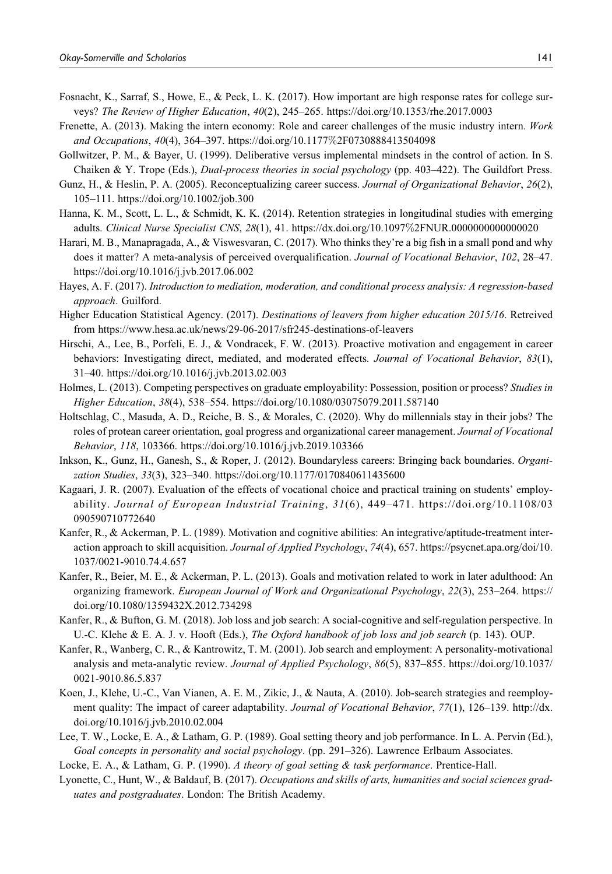- Fosnacht, K., Sarraf, S., Howe, E., & Peck, L. K. (2017). How important are high response rates for college surveys? The Review of Higher Education, 40(2), 245–265. https://doi.org/10.1353/rhe.2017.0003
- Frenette, A. (2013). Making the intern economy: Role and career challenges of the music industry intern. Work and Occupations, 40(4), 364–397. https://doi.org/10.1177%2F0730888413504098
- Gollwitzer, P. M., & Bayer, U. (1999). Deliberative versus implemental mindsets in the control of action. In S. Chaiken & Y. Trope (Eds.), Dual-process theories in social psychology (pp. 403–422). The Guildfort Press.
- Gunz, H., & Heslin, P. A. (2005). Reconceptualizing career success. Journal of Organizational Behavior, 26(2), 105–111. https://doi.org/10.1002/job.300
- Hanna, K. M., Scott, L. L., & Schmidt, K. K. (2014). Retention strategies in longitudinal studies with emerging adults. Clinical Nurse Specialist CNS, 28(1), 41. https://dx.doi.org/10.1097%2FNUR.0000000000000020
- Harari, M. B., Manapragada, A., & Viswesvaran, C. (2017). Who thinks they're a big fish in a small pond and why does it matter? A meta-analysis of perceived overqualification. Journal of Vocational Behavior, 102, 28-47. https://doi.org/10.1016/j.jvb.2017.06.002
- Hayes, A. F. (2017). Introduction to mediation, moderation, and conditional process analysis: A regression-based approach. Guilford.
- Higher Education Statistical Agency. (2017). Destinations of leavers from higher education 2015/16. Retreived from https://www.hesa.ac.uk/news/29-06-2017/sfr245-destinations-of-leavers
- Hirschi, A., Lee, B., Porfeli, E. J., & Vondracek, F. W. (2013). Proactive motivation and engagement in career behaviors: Investigating direct, mediated, and moderated effects. Journal of Vocational Behavior, 83(1), 31–40. https://doi.org/10.1016/j.jvb.2013.02.003
- Holmes, L. (2013). Competing perspectives on graduate employability: Possession, position or process? Studies in Higher Education, 38(4), 538–554. https://doi.org/10.1080/03075079.2011.587140
- Holtschlag, C., Masuda, A. D., Reiche, B. S., & Morales, C. (2020). Why do millennials stay in their jobs? The roles of protean career orientation, goal progress and organizational career management. Journal of Vocational Behavior, 118, 103366. https://doi.org/10.1016/j.jvb.2019.103366
- Inkson, K., Gunz, H., Ganesh, S., & Roper, J. (2012). Boundaryless careers: Bringing back boundaries. Organization Studies, 33(3), 323–340. https://doi.org/10.1177/0170840611435600
- Kagaari, J. R. (2007). Evaluation of the effects of vocational choice and practical training on students' employability. Journal of European Industrial Training, 31(6), 449–471. https://doi.org/10.1108/03 090590710772640
- Kanfer, R., & Ackerman, P. L. (1989). Motivation and cognitive abilities: An integrative/aptitude-treatment interaction approach to skill acquisition. Journal of Applied Psychology, 74(4), 657. https://psycnet.apa.org/doi/10. 1037/0021-9010.74.4.657
- Kanfer, R., Beier, M. E., & Ackerman, P. L. (2013). Goals and motivation related to work in later adulthood: An organizing framework. European Journal of Work and Organizational Psychology, 22(3), 253–264. https:// doi.org/10.1080/1359432X.2012.734298
- Kanfer, R., & Bufton, G. M. (2018). Job loss and job search: A social-cognitive and self-regulation perspective. In U.-C. Klehe & E. A. J. v. Hooft (Eds.), The Oxford handbook of job loss and job search (p. 143). OUP.
- Kanfer, R., Wanberg, C. R., & Kantrowitz, T. M. (2001). Job search and employment: A personality-motivational analysis and meta-analytic review. Journal of Applied Psychology, 86(5), 837–855. https://doi.org/10.1037/ 0021-9010.86.5.837
- Koen, J., Klehe, U.-C., Van Vianen, A. E. M., Zikic, J., & Nauta, A. (2010). Job-search strategies and reemployment quality: The impact of career adaptability. Journal of Vocational Behavior, 77(1), 126–139. http://dx. doi.org/10.1016/j.jvb.2010.02.004
- Lee, T. W., Locke, E. A., & Latham, G. P. (1989). Goal setting theory and job performance. In L. A. Pervin (Ed.), Goal concepts in personality and social psychology. (pp. 291–326). Lawrence Erlbaum Associates.

Locke, E. A., & Latham, G. P. (1990). A theory of goal setting & task performance. Prentice-Hall.

Lyonette, C., Hunt, W., & Baldauf, B. (2017). Occupations and skills of arts, humanities and social sciences graduates and postgraduates. London: The British Academy.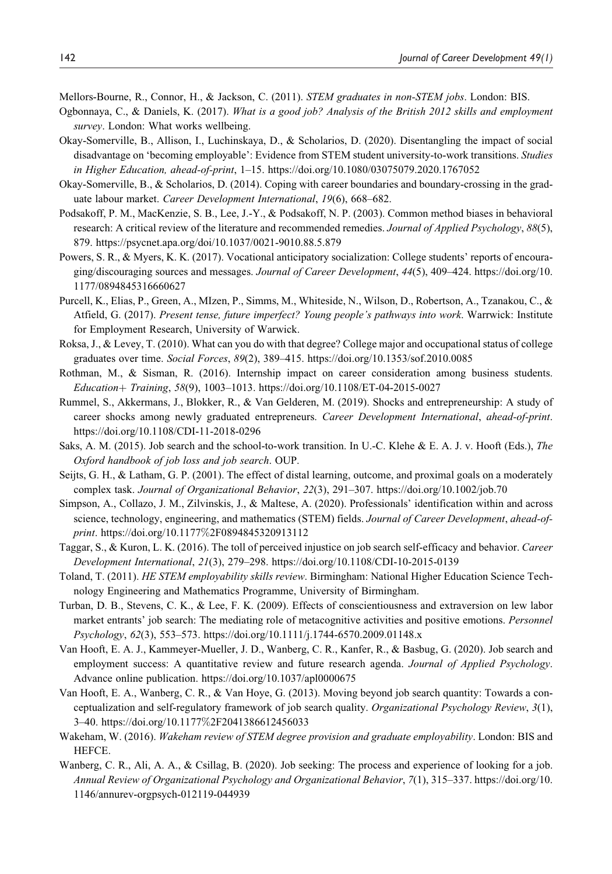Mellors-Bourne, R., Connor, H., & Jackson, C. (2011). STEM graduates in non-STEM jobs. London: BIS.

- Ogbonnaya, C., & Daniels, K. (2017). What is a good job? Analysis of the British 2012 skills and employment survey. London: What works wellbeing.
- Okay-Somerville, B., Allison, I., Luchinskaya, D., & Scholarios, D. (2020). Disentangling the impact of social disadvantage on 'becoming employable': Evidence from STEM student university-to-work transitions. Studies in Higher Education, ahead-of-print, 1–15. https://doi.org/10.1080/03075079.2020.1767052
- Okay-Somerville, B., & Scholarios, D. (2014). Coping with career boundaries and boundary-crossing in the graduate labour market. Career Development International, 19(6), 668-682.
- Podsakoff, P. M., MacKenzie, S. B., Lee, J.-Y., & Podsakoff, N. P. (2003). Common method biases in behavioral research: A critical review of the literature and recommended remedies. Journal of Applied Psychology, 88(5), 879. https://psycnet.apa.org/doi/10.1037/0021-9010.88.5.879
- Powers, S. R., & Myers, K. K. (2017). Vocational anticipatory socialization: College students' reports of encouraging/discouraging sources and messages. Journal of Career Development, 44(5), 409–424. https://doi.org/10. 1177/0894845316660627
- Purcell, K., Elias, P., Green, A., MIzen, P., Simms, M., Whiteside, N., Wilson, D., Robertson, A., Tzanakou, C., & Atfield, G. (2017). Present tense, future imperfect? Young people's pathways into work. Warrwick: Institute for Employment Research, University of Warwick.
- Roksa, J., & Levey, T. (2010). What can you do with that degree? College major and occupational status of college graduates over time. Social Forces, 89(2), 389–415. https://doi.org/10.1353/sof.2010.0085
- Rothman, M., & Sisman, R. (2016). Internship impact on career consideration among business students.  $Education+Training, 58(9), 1003-1013. <https://doi.org/10.1108/ET-04-2015-0027>$
- Rummel, S., Akkermans, J., Blokker, R., & Van Gelderen, M. (2019). Shocks and entrepreneurship: A study of career shocks among newly graduated entrepreneurs. Career Development International, ahead-of-print. https://doi.org/10.1108/CDI-11-2018-0296
- Saks, A. M. (2015). Job search and the school-to-work transition. In U.-C. Klehe & E. A. J. v. Hooft (Eds.), The Oxford handbook of job loss and job search. OUP.
- Seijts, G. H., & Latham, G. P. (2001). The effect of distal learning, outcome, and proximal goals on a moderately complex task. Journal of Organizational Behavior, 22(3), 291–307. https://doi.org/10.1002/job.70
- Simpson, A., Collazo, J. M., Zilvinskis, J., & Maltese, A. (2020). Professionals' identification within and across science, technology, engineering, and mathematics (STEM) fields. Journal of Career Development, ahead-ofprint. https://doi.org/10.1177%2F0894845320913112
- Taggar, S., & Kuron, L. K. (2016). The toll of perceived injustice on job search self-efficacy and behavior. Career Development International, 21(3), 279–298. https://doi.org/10.1108/CDI-10-2015-0139
- Toland, T. (2011). HE STEM employability skills review. Birmingham: National Higher Education Science Technology Engineering and Mathematics Programme, University of Birmingham.
- Turban, D. B., Stevens, C. K., & Lee, F. K. (2009). Effects of conscientiousness and extraversion on lew labor market entrants' job search: The mediating role of metacognitive activities and positive emotions. Personnel Psychology, 62(3), 553–573. https://doi.org/10.1111/j.1744-6570.2009.01148.x
- Van Hooft, E. A. J., Kammeyer-Mueller, J. D., Wanberg, C. R., Kanfer, R., & Basbug, G. (2020). Job search and employment success: A quantitative review and future research agenda. Journal of Applied Psychology. Advance online publication. https://doi.org/10.1037/apl0000675
- Van Hooft, E. A., Wanberg, C. R., & Van Hoye, G. (2013). Moving beyond job search quantity: Towards a conceptualization and self-regulatory framework of job search quality. Organizational Psychology Review, 3(1), 3–40. https://doi.org/10.1177%2F2041386612456033
- Wakeham, W. (2016). Wakeham review of STEM degree provision and graduate employability. London: BIS and HEFCE.
- Wanberg, C. R., Ali, A. A., & Csillag, B. (2020). Job seeking: The process and experience of looking for a job. Annual Review of Organizational Psychology and Organizational Behavior, 7(1), 315–337. https://doi.org/10. 1146/annurev-orgpsych-012119-044939